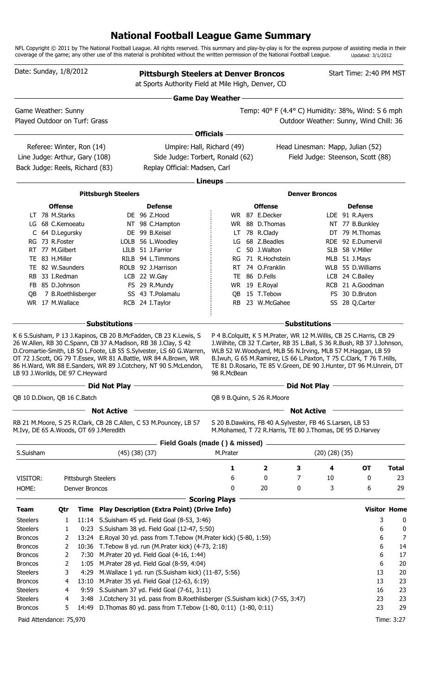## **National Football League Game Summary**

NFL Copyright © 2011 by The National Football League. All rights reserved. This summary and play-by-play is for the express purpose of assisting media in their coverage of the game; any other use of this material is prohibited without the written permission of the National Football League. Updated: 3/1/2012

| Date: Sunday, 1/8/2012                 |                  |                     |                            | <b>Pittsburgh Steelers at Denver Broncos</b><br>at Sports Authority Field at Mile High, Denver, CO                                 |                         |                                                          |                      |                       | Start Time: 2:40 PM MST                                                                                                                       |                     |  |  |
|----------------------------------------|------------------|---------------------|----------------------------|------------------------------------------------------------------------------------------------------------------------------------|-------------------------|----------------------------------------------------------|----------------------|-----------------------|-----------------------------------------------------------------------------------------------------------------------------------------------|---------------------|--|--|
|                                        |                  |                     |                            |                                                                                                                                    | <b>Game Day Weather</b> |                                                          |                      |                       |                                                                                                                                               |                     |  |  |
| Game Weather: Sunny                    |                  |                     |                            |                                                                                                                                    |                         |                                                          |                      |                       | Temp: 40° F (4.4° C) Humidity: 38%, Wind: S 6 mph                                                                                             |                     |  |  |
| Played Outdoor on Turf: Grass          |                  |                     |                            |                                                                                                                                    |                         |                                                          |                      |                       | Outdoor Weather: Sunny, Wind Chill: 36                                                                                                        |                     |  |  |
|                                        |                  |                     |                            |                                                                                                                                    | <b>Officials</b>        |                                                          |                      |                       |                                                                                                                                               |                     |  |  |
| Referee: Winter, Ron (14)              |                  |                     |                            | Umpire: Hall, Richard (49)                                                                                                         |                         |                                                          |                      |                       | Head Linesman: Mapp, Julian (52)                                                                                                              |                     |  |  |
| Line Judge: Arthur, Gary (108)         |                  |                     |                            | Side Judge: Torbert, Ronald (62)                                                                                                   |                         |                                                          |                      |                       | Field Judge: Steenson, Scott (88)                                                                                                             |                     |  |  |
| Back Judge: Reels, Richard (83)        |                  |                     |                            | Replay Official: Madsen, Carl                                                                                                      |                         |                                                          |                      |                       |                                                                                                                                               |                     |  |  |
|                                        |                  |                     |                            |                                                                                                                                    | Lineups -               |                                                          |                      |                       |                                                                                                                                               |                     |  |  |
|                                        |                  |                     | <b>Pittsburgh Steelers</b> |                                                                                                                                    |                         |                                                          |                      | <b>Denver Broncos</b> |                                                                                                                                               |                     |  |  |
|                                        | <b>Offense</b>   |                     |                            | <b>Defense</b>                                                                                                                     |                         | <b>Offense</b>                                           |                      |                       | <b>Defense</b>                                                                                                                                |                     |  |  |
|                                        | LT 78 M.Starks   |                     |                            | DE 96 Z.Hood                                                                                                                       |                         | WR 87 E.Decker                                           |                      |                       | LDE 91 R.Ayers                                                                                                                                |                     |  |  |
|                                        | LG 68 C.Kemoeatu |                     |                            | NT 98 C.Hampton                                                                                                                    |                         | WR 88 D.Thomas                                           |                      |                       | NT 77 B.Bunkley                                                                                                                               |                     |  |  |
|                                        | C 64 D.Legursky  |                     |                            | DE 99 B.Keisel                                                                                                                     |                         | LT 78 R.Clady                                            |                      |                       | DT 79 M.Thomas                                                                                                                                |                     |  |  |
| RG 73 R.Foster                         |                  |                     |                            | LOLB 56 L.Woodley                                                                                                                  |                         | LG 68 Z.Beadles                                          |                      |                       | RDE 92 E.Dumervil                                                                                                                             |                     |  |  |
| RT 77 M.Gilbert                        |                  |                     |                            | LILB 51 J.Farrior                                                                                                                  | C                       | 50 J.Walton                                              |                      |                       | SLB 58 V.Miller                                                                                                                               |                     |  |  |
|                                        | TE 83 H.Miller   |                     |                            | RILB 94 L.Timmons                                                                                                                  | RG                      | 71 R.Hochstein                                           |                      |                       | MLB 51 J.Mays                                                                                                                                 |                     |  |  |
|                                        | TE 82 W.Saunders |                     |                            | ROLB 92 J.Harrison                                                                                                                 |                         | RT 74 O.Franklin                                         |                      |                       | WLB 55 D.Williams                                                                                                                             |                     |  |  |
|                                        | RB 33 I.Redman   |                     |                            | LCB 22 W.Gay                                                                                                                       |                         | TE 86 D.Fells                                            |                      |                       | LCB 24 C.Bailey                                                                                                                               |                     |  |  |
|                                        | FB 85 D.Johnson  |                     |                            | FS 29 R.Mundy                                                                                                                      |                         | WR 19 E.Royal                                            |                      |                       | RCB 21 A.Goodman                                                                                                                              |                     |  |  |
| OB.                                    |                  | 7 B.Roethlisberger  |                            | SS 43 T.Polamalu                                                                                                                   |                         | QB 15 T.Tebow                                            |                      |                       | FS 30 D.Bruton                                                                                                                                |                     |  |  |
| WR 17 M.Wallace                        |                  |                     |                            | RCB 24 I.Taylor                                                                                                                    |                         | RB 23 W.McGahee                                          |                      |                       | SS 28 Q.Carter                                                                                                                                |                     |  |  |
|                                        |                  |                     | <b>Substitutions</b>       |                                                                                                                                    |                         |                                                          | <b>Substitutions</b> |                       |                                                                                                                                               |                     |  |  |
| LB 93 J.Worilds, DE 97 C.Heyward       |                  |                     |                            | OT 72 J.Scott, OG 79 T.Essex, WR 81 A.Battle, WR 84 A.Brown, WR<br>86 H.Ward, WR 88 E.Sanders, WR 89 J.Cotchery, NT 90 S.McLendon, | 98 R.McBean             |                                                          |                      |                       | B.Iwuh, G 65 M.Ramirez, LS 66 L.Paxton, T 75 C.Clark, T 76 T.Hills,<br>TE 81 D. Rosario, TE 85 V. Green, DE 90 J. Hunter, DT 96 M. Unrein, DT |                     |  |  |
| QB 10 D.Dixon, QB 16 C.Batch           |                  |                     | Did Not Play               |                                                                                                                                    |                         | QB 9 B.Quinn, S 26 R.Moore                               | Did Not Play         |                       |                                                                                                                                               |                     |  |  |
|                                        |                  |                     |                            |                                                                                                                                    |                         |                                                          |                      |                       |                                                                                                                                               |                     |  |  |
| M.Ivy, DE 65 A.Woods, OT 69 J.Meredith |                  |                     | <b>Not Active</b>          | RB 21 M.Moore, S 25 R.Clark, CB 28 C.Allen, C 53 M.Pouncey, LB 57                                                                  |                         | S 20 B.Dawkins, FB 40 A.Sylvester, FB 46 S.Larsen, LB 53 | <b>Not Active</b>    |                       | M.Mohamed, T 72 R.Harris, TE 80 J.Thomas, DE 95 D.Harvey                                                                                      |                     |  |  |
|                                        |                  |                     |                            | Field Goals (made () & missed).                                                                                                    |                         |                                                          |                      |                       |                                                                                                                                               |                     |  |  |
| S.Suisham                              |                  |                     | $(45)$ $(38)$ $(37)$       |                                                                                                                                    | M.Prater                |                                                          |                      | $(20)$ $(28)$ $(35)$  |                                                                                                                                               |                     |  |  |
|                                        |                  |                     |                            |                                                                                                                                    | 1                       | 2                                                        | з                    | 4                     | <b>OT</b>                                                                                                                                     | <b>Total</b>        |  |  |
| VISITOR:                               |                  | Pittsburgh Steelers |                            |                                                                                                                                    | 6                       | 0                                                        | 7                    | 10                    | 0                                                                                                                                             | 23                  |  |  |
| HOME:                                  |                  | Denver Broncos      |                            |                                                                                                                                    | 0                       | 20                                                       | 0                    | 3                     | 6                                                                                                                                             | 29                  |  |  |
| <b>Team</b>                            | Qtr              | Time                |                            | <b>Play Description (Extra Point) (Drive Info)</b>                                                                                 | <b>Scoring Plays</b>    |                                                          |                      |                       |                                                                                                                                               | <b>Visitor Home</b> |  |  |
| <b>Steelers</b>                        | 1                |                     |                            | 11:14 S.Suisham 45 yd. Field Goal (8-53, 3:46)                                                                                     |                         |                                                          |                      |                       |                                                                                                                                               | 3<br>0              |  |  |
| <b>Steelers</b>                        | 1                |                     |                            | 0:23 S.Suisham 38 yd. Field Goal (12-47, 5:50)                                                                                     |                         |                                                          |                      |                       |                                                                                                                                               | 6<br>0              |  |  |
| <b>Broncos</b>                         | 2                |                     |                            | 13:24 E.Royal 30 yd. pass from T.Tebow (M.Prater kick) (5-80, 1:59)                                                                |                         |                                                          |                      |                       |                                                                                                                                               | $\overline{7}$<br>6 |  |  |
| <b>Broncos</b>                         | 2                | 10:36               |                            | T.Tebow 8 yd. run (M.Prater kick) (4-73, 2:18)                                                                                     |                         |                                                          |                      |                       |                                                                                                                                               | 6<br>14             |  |  |
| <b>Broncos</b>                         | 2                | 7:30                |                            | M.Prater 20 yd. Field Goal (4-16, 1:44)                                                                                            |                         |                                                          |                      |                       |                                                                                                                                               | 17<br>6             |  |  |
| <b>Broncos</b>                         | 2                | 1:05                |                            | M.Prater 28 yd. Field Goal (8-59, 4:04)                                                                                            |                         |                                                          |                      |                       |                                                                                                                                               | 20<br>6             |  |  |
| <b>Steelers</b>                        | 3                | 4:29                |                            | M.Wallace 1 yd. run (S.Suisham kick) (11-87, 5:56)                                                                                 |                         |                                                          |                      |                       |                                                                                                                                               | 20<br>13            |  |  |
| <b>Broncos</b>                         | 4                | 13:10               |                            | M.Prater 35 yd. Field Goal (12-63, 6:19)                                                                                           |                         |                                                          |                      |                       |                                                                                                                                               | 23<br>13<br>23      |  |  |
| <b>Steelers</b>                        | 4                |                     |                            | 9:59 S.Suisham 37 yd. Field Goal (7-61, 3:11)                                                                                      |                         |                                                          |                      |                       | 16                                                                                                                                            |                     |  |  |
| <b>Steelers</b>                        | 4                | 3:48                |                            | J.Cotchery 31 yd. pass from B.Roethlisberger (S.Suisham kick) (7-55, 3:47)                                                         |                         |                                                          |                      |                       | 23<br>23                                                                                                                                      |                     |  |  |
| <b>Broncos</b>                         | 5                | 14:49               |                            | D. Thomas 80 yd. pass from T. Tebow (1-80, 0:11) (1-80, 0:11)                                                                      |                         |                                                          |                      |                       |                                                                                                                                               | 29                  |  |  |
| Paid Attendance: 75,970                |                  |                     |                            |                                                                                                                                    |                         |                                                          |                      |                       |                                                                                                                                               | Time: 3:27          |  |  |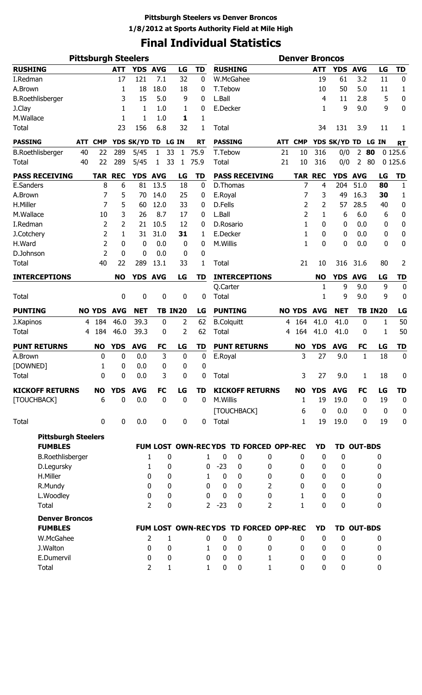# **Final Individual Statistics**

|                            | <b>Pittsburgh Steelers</b> |                | <b>Denver Broncos</b> |                    |                     |                  |                             |                      |                            |                                       |     |                   |                |                    |                   |                |                  |
|----------------------------|----------------------------|----------------|-----------------------|--------------------|---------------------|------------------|-----------------------------|----------------------|----------------------------|---------------------------------------|-----|-------------------|----------------|--------------------|-------------------|----------------|------------------|
| <b>RUSHING</b>             |                            |                | <b>ATT</b>            | YDS AVG            |                     | LG               | <b>TD</b>                   |                      | <b>RUSHING</b>             |                                       |     |                   | <b>ATT</b>     | <b>YDS</b>         | <b>AVG</b>        | LG             | <b>TD</b>        |
| I.Redman                   |                            |                | 17                    | 121                | 7.1                 | 32               | 0                           |                      | W.McGahee                  |                                       |     |                   | 19             | 61                 | 3.2               | 11             | 0                |
| A.Brown                    |                            |                | 1                     | 18                 | 18.0                | 18               | 0                           | T.Tebow              |                            |                                       |     |                   | 10             | 50                 | 5.0               | 11             | 1                |
| <b>B.Roethlisberger</b>    |                            |                | 3                     | 15                 | 5.0                 | 9                | 0                           | L.Ball               |                            |                                       |     |                   | 4              | 11                 | 2.8               | 5              | 0                |
| J.Clay                     |                            |                | 1                     | 1                  | 1.0                 | 1                | 0                           | E.Decker             |                            |                                       |     |                   | 1              | 9                  | 9.0               | 9              | 0                |
| M.Wallace                  |                            |                | 1                     | 1                  | 1.0                 | 1                | 1                           |                      |                            |                                       |     |                   |                |                    |                   |                |                  |
| <b>Total</b>               |                            |                | 23                    | 156                | 6.8                 | 32               | 1                           | Total                |                            |                                       |     |                   | 34             | 131                | 3.9               | 11             | 1                |
| <b>PASSING</b>             | <b>ATT</b>                 | <b>CMP</b>     |                       | YDS SK/YD TD LG IN |                     |                  | <b>RT</b>                   | <b>PASSING</b>       |                            |                                       | ATT | <b>CMP</b>        |                | YDS SK/YD TD LG IN |                   |                | <b>RT</b>        |
| <b>B.Roethlisberger</b>    | 40                         | 22             | 289                   | 5/45               | 1                   | 33<br>1          | 75.9                        | T.Tebow              |                            |                                       | 21  | 10                | 316            | 0/0                | $\overline{2}$    | 80             | 0 1 2 5 . 6      |
| <b>Total</b>               | 40                         | 22             | 289                   | 5/45               | 1                   | 33<br>1          | 75.9                        | <b>Total</b>         |                            |                                       | 21  | 10                | 316            | 0/0                | 2                 | 80             | 0 1 2 5 . 6      |
| <b>PASS RECEIVING</b>      |                            | <b>TAR</b>     | <b>REC</b>            | YDS AVG            |                     | LG               | <b>TD</b>                   |                      |                            | <b>PASS RECEIVING</b>                 |     |                   | <b>TAR REC</b> | YDS AVG            |                   | LG             | <b>TD</b>        |
| E.Sanders                  |                            | 8              | 6                     | 81                 | 13.5                | 18               | $\mathbf 0$                 |                      | D.Thomas                   |                                       |     | 7                 | 4              | 204                | 51.0              | 80             | $\mathbf{1}$     |
| A.Brown                    |                            | 7              | 5                     | 70                 | 14.0                | 25               | 0                           | E.Royal              |                            |                                       |     | 7                 | 3              | 49                 | 16.3              | 30             | $\mathbf{1}$     |
| H.Miller                   |                            | 7              | 5                     | 60                 | 12.0                | 33               | 0                           | D.Fells              |                            |                                       |     | 2                 | 2              | 57                 | 28.5              | 40             | $\pmb{0}$        |
| M.Wallace                  |                            | 10             | 3                     | 26                 | 8.7                 | 17               | 0                           | L.Ball               |                            |                                       |     | 2                 | $\mathbf{1}$   | 6                  | 6.0               | 6              | $\pmb{0}$        |
| I.Redman                   |                            | 2              | 2                     | 21                 | 10.5                | 12               | 0                           | D.Rosario            |                            |                                       |     | 1                 | 0              | 0                  | 0.0               | 0              | 0                |
| J.Cotchery                 |                            | $\overline{2}$ | 1                     | 31                 | 31.0                | 31               | 1                           | E.Decker             |                            |                                       |     | 1                 | 0              | 0                  | 0.0               | 0              | 0                |
| H.Ward                     |                            | $\overline{2}$ | 0                     | 0                  | 0.0                 | $\boldsymbol{0}$ | 0                           | M.Willis             |                            |                                       |     | 1                 | 0              | 0                  | 0.0               | 0              | 0                |
| D.Johnson                  |                            | $\overline{2}$ | $\mathbf 0$           | 0                  | 0.0                 | 0                | 0                           |                      |                            |                                       |     |                   |                |                    |                   |                |                  |
| <b>Total</b>               |                            | 40             | 22                    | 289                | 13.1                | 33               | 1                           | <b>Total</b>         |                            |                                       |     | 21                | 10             | 316                | 31.6              | 80             | 2                |
| <b>INTERCEPTIONS</b>       |                            |                | <b>NO</b>             | <b>YDS</b>         | <b>AVG</b>          | LG               | <b>TD</b>                   |                      |                            | <b>INTERCEPTIONS</b>                  |     |                   | <b>NO</b>      | <b>YDS</b>         | <b>AVG</b>        | LG             | <b>TD</b>        |
|                            |                            |                |                       |                    |                     |                  |                             | Q.Carter             |                            |                                       |     |                   | 1              | 9                  | 9.0               | 9              | $\mathbf 0$      |
| <b>Total</b>               |                            |                | 0                     | 0                  | 0                   | 0                | 0                           | <b>Total</b>         |                            |                                       |     |                   | 1              | 9                  | 9.0               | 9              | $\bf{0}$         |
| <b>PUNTING</b>             |                            | <b>NO YDS</b>  | <b>AVG</b>            | <b>NET</b>         |                     | <b>TB IN20</b>   | LG                          |                      | <b>PUNTING</b>             |                                       |     | <b>NO YDS</b>     | <b>AVG</b>     | <b>NET</b>         |                   | <b>TB IN20</b> | LG               |
| J.Kapinos                  | 4                          | 184            | 46.0                  | 39.3               | $\bf{0}$            | $\overline{2}$   | 62                          |                      | <b>B.Colquitt</b>          |                                       | 4   | 164               | 41.0           | 41.0               | $\mathbf 0$       | 1              | 50               |
| <b>Total</b>               | 4                          | 184            | 46.0                  | 39.3               | 0                   | 2                | 62                          | <b>Total</b>         |                            |                                       | 4   | 164               | 41.0           | 41.0               | 0                 | 1              | 50               |
| <b>PUNT RETURNS</b>        |                            | <b>NO</b>      | <b>YDS</b>            | <b>AVG</b>         | <b>FC</b>           | LG               | <b>TD</b>                   |                      | <b>PUNT RETURNS</b>        |                                       |     | <b>NO</b>         | <b>YDS</b>     | <b>AVG</b>         | <b>FC</b>         | LG             | <b>TD</b>        |
| A.Brown                    |                            | 0              | 0                     | 0.0                | 3                   | $\bf{0}$         | 0                           | E.Royal              |                            |                                       |     | 3                 | 27             | 9.0                | 1                 | 18             | $\mathbf 0$      |
| [DOWNED]                   |                            | 1              | 0                     | 0.0                | 0                   | 0                | 0                           |                      |                            |                                       |     |                   |                |                    |                   |                |                  |
| <b>Total</b>               |                            | 0              | 0                     | 0.0                | 3                   | 0                | 0                           | Total                |                            |                                       |     | 3                 | 27             | 9.0                | $\mathbf{1}$      | 18             | 0                |
| <b>KICKOFF RETURNS</b>     |                            | <b>NO</b>      | <b>YDS</b>            | <b>AVG</b>         | <b>FC</b>           | LG               | TD                          |                      |                            | <b>KICKOFF RETURNS</b>                |     | <b>NO</b>         | <b>YDS</b>     | <b>AVG</b>         | <b>FC</b>         | LG             | <b>TD</b>        |
| [TOUCHBACK]                |                            | 6              | $\mathbf 0$           | 0.0                | $\mathbf 0$         | $\mathbf 0$      | $\mathbf 0$                 | M.Willis             |                            |                                       |     | $\mathbf{1}$      | 19             | 19.0               | $\mathbf 0$       | 19             | $\mathbf 0$      |
|                            |                            |                |                       |                    |                     |                  |                             |                      | [TOUCHBACK]                |                                       |     | 6                 | 0              | 0.0                | $\mathbf{0}$      | $\mathbf 0$    | $\mathbf 0$      |
| Total                      |                            | 0              | $\mathbf 0$           | 0.0                | $\mathbf 0$         | $\mathbf 0$      | 0                           | Total                |                            |                                       |     | $\mathbf{1}$      | 19             | 19.0               | 0                 | 19             | $\boldsymbol{0}$ |
|                            |                            |                |                       |                    |                     |                  |                             |                      |                            |                                       |     |                   |                |                    |                   |                |                  |
| <b>Pittsburgh Steelers</b> |                            |                |                       |                    |                     |                  |                             |                      |                            |                                       |     |                   |                |                    |                   |                |                  |
| <b>FUMBLES</b>             |                            |                |                       |                    |                     |                  |                             |                      |                            | FUM LOST OWN-RECYDS TD FORCED OPP-REC |     |                   | YD             |                    | <b>TD OUT-BDS</b> |                |                  |
| <b>B.Roethlisberger</b>    |                            |                |                       |                    | 1                   | 0                | 1                           | $\bf{0}$             | 0                          | 0                                     |     | 0                 | 0              | 0                  |                   | 0              |                  |
| D.Legursky                 |                            |                |                       |                    | $\mathbf{1}$        | 0                | 0                           | $-23$                | 0                          | 0                                     |     | 0                 | 0              | 0                  |                   | 0              |                  |
| H.Miller                   |                            |                |                       |                    | 0                   | 0                | $\mathbf{1}$                | $\mathbf 0$          | $\mathbf 0$                | 0                                     |     | 0                 | $\mathbf 0$    | 0                  |                   | 0              |                  |
| R.Mundy                    |                            |                |                       |                    | 0                   | 0                | $\Omega$                    | 0                    | $\mathbf 0$                | 2                                     |     | 0                 | 0              | 0                  |                   | 0              |                  |
| L.Woodley<br>Total         |                            |                |                       |                    | 0<br>$\overline{2}$ | 0<br>0           | $\Omega$<br>$\overline{2}$  | $\mathbf 0$<br>$-23$ | $\mathbf 0$<br>0           | 0<br>$\overline{2}$                   |     | $\mathbf{1}$<br>1 | 0<br>0         | 0<br>0             |                   | 0<br>0         |                  |
|                            |                            |                |                       |                    |                     |                  |                             |                      |                            |                                       |     |                   |                |                    |                   |                |                  |
| <b>Denver Broncos</b>      |                            |                |                       |                    |                     |                  |                             |                      |                            |                                       |     |                   |                |                    |                   |                |                  |
| <b>FUMBLES</b>             |                            |                |                       |                    |                     |                  |                             |                      |                            | FUM LOST OWN-RECYDS TD FORCED OPP-REC |     |                   | <b>YD</b>      |                    | <b>TD OUT-BDS</b> |                |                  |
| W.McGahee                  |                            |                |                       |                    | 2                   | 1                | 0                           | 0                    | 0                          | 0                                     |     | 0                 | 0              | $\bf{0}$           |                   | 0              |                  |
| J.Walton<br>E.Dumervil     |                            |                |                       |                    | 0<br>0              | 0<br>0           | $\mathbf{1}$<br>$\mathbf 0$ | 0<br>0               | $\mathbf 0$<br>$\mathbf 0$ | 0<br>1                                |     | 0<br>0            | 0<br>0         | 0<br>0             |                   | 0<br>0         |                  |
| Total                      |                            |                |                       |                    | 2                   | 1                | $\mathbf{1}$                | $\bf{0}$             | 0                          | 1                                     |     | $\mathbf 0$       | $\mathbf 0$    | 0                  |                   | 0              |                  |
|                            |                            |                |                       |                    |                     |                  |                             |                      |                            |                                       |     |                   |                |                    |                   |                |                  |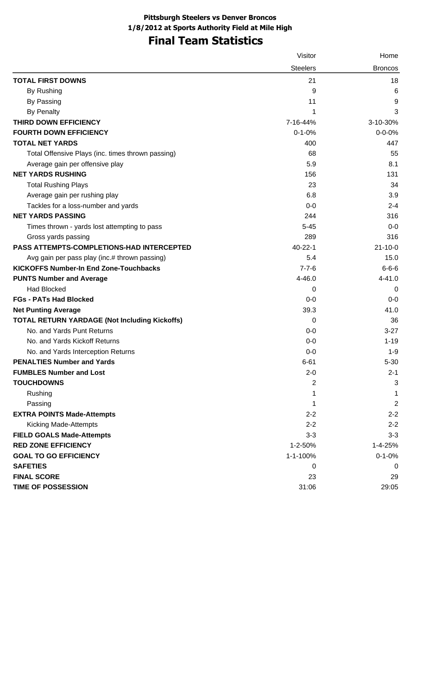# **Final Team Statistics**

|                                                      | Visitor         | Home           |
|------------------------------------------------------|-----------------|----------------|
|                                                      | <b>Steelers</b> | <b>Broncos</b> |
| <b>TOTAL FIRST DOWNS</b>                             | 21              | 18             |
| By Rushing                                           | 9               | 6              |
| By Passing                                           | 11              | 9              |
| <b>By Penalty</b>                                    | 1               | 3              |
| THIRD DOWN EFFICIENCY                                | 7-16-44%        | 3-10-30%       |
| <b>FOURTH DOWN EFFICIENCY</b>                        | $0 - 1 - 0%$    | $0 - 0 - 0%$   |
| <b>TOTAL NET YARDS</b>                               | 400             | 447            |
| Total Offensive Plays (inc. times thrown passing)    | 68              | 55             |
| Average gain per offensive play                      | 5.9             | 8.1            |
| <b>NET YARDS RUSHING</b>                             | 156             | 131            |
| <b>Total Rushing Plays</b>                           | 23              | 34             |
| Average gain per rushing play                        | 6.8             | 3.9            |
| Tackles for a loss-number and yards                  | $0-0$           | $2 - 4$        |
| <b>NET YARDS PASSING</b>                             | 244             | 316            |
| Times thrown - yards lost attempting to pass         | $5 - 45$        | $0-0$          |
| Gross yards passing                                  | 289             | 316            |
| <b>PASS ATTEMPTS-COMPLETIONS-HAD INTERCEPTED</b>     | 40-22-1         | $21 - 10 - 0$  |
| Avg gain per pass play (inc.# thrown passing)        | 5.4             | 15.0           |
| <b>KICKOFFS Number-In End Zone-Touchbacks</b>        | $7 - 7 - 6$     | $6 - 6 - 6$    |
| <b>PUNTS Number and Average</b>                      | 4-46.0          | $4 - 41.0$     |
| <b>Had Blocked</b>                                   | 0               | 0              |
| <b>FGs - PATs Had Blocked</b>                        | $0-0$           | $0-0$          |
| <b>Net Punting Average</b>                           | 39.3            | 41.0           |
| <b>TOTAL RETURN YARDAGE (Not Including Kickoffs)</b> | 0               | 36             |
| No. and Yards Punt Returns                           | $0-0$           | $3-27$         |
| No. and Yards Kickoff Returns                        | $0-0$           | $1 - 19$       |
| No. and Yards Interception Returns                   | $0-0$           | $1 - 9$        |
| <b>PENALTIES Number and Yards</b>                    | $6 - 61$        | $5 - 30$       |
| <b>FUMBLES Number and Lost</b>                       | $2 - 0$         | $2 - 1$        |
| <b>TOUCHDOWNS</b>                                    | 2               | $\mathbf{3}$   |
| Rushing                                              | 1               | 1              |
| Passing                                              | 1               | $\overline{2}$ |
| <b>EXTRA POINTS Made-Attempts</b>                    | $2 - 2$         | $2 - 2$        |
| <b>Kicking Made-Attempts</b>                         | $2 - 2$         | $2 - 2$        |
| <b>FIELD GOALS Made-Attempts</b>                     | $3 - 3$         | $3 - 3$        |
| <b>RED ZONE EFFICIENCY</b>                           | 1-2-50%         | 1-4-25%        |
| <b>GOAL TO GO EFFICIENCY</b>                         | 1-1-100%        | $0 - 1 - 0%$   |
| <b>SAFETIES</b>                                      | 0               | 0              |
| <b>FINAL SCORE</b>                                   | 23              | 29             |
| <b>TIME OF POSSESSION</b>                            | 31:06           | 29:05          |
|                                                      |                 |                |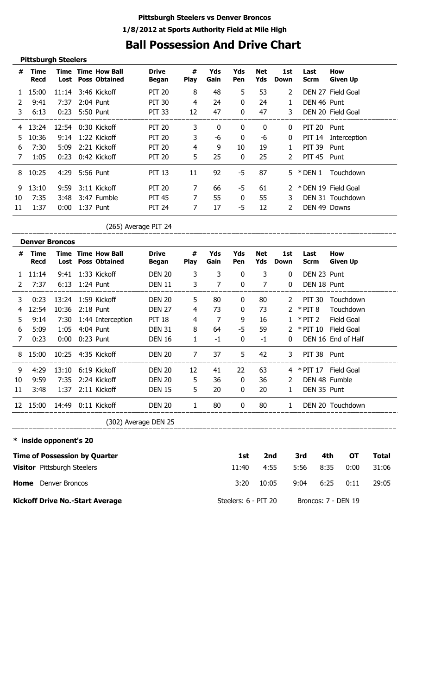# **Ball Possession And Drive Chart**

|    | <b>Pittsburgh Steelers</b> |       |                |                                                   |                       |                  |             |              |                   |                       |              |                        |
|----|----------------------------|-------|----------------|---------------------------------------------------|-----------------------|------------------|-------------|--------------|-------------------|-----------------------|--------------|------------------------|
| #  | Time<br><b>Recd</b>        | Lost  |                | <b>Time Time How Ball</b><br><b>Poss Obtained</b> | <b>Drive</b><br>Began | #<br><b>Play</b> | Yds<br>Gain | Yds<br>Pen   | <b>Net</b><br>Yds | 1st<br>Down           | Last<br>Scrm | How<br><b>Given Up</b> |
|    | 15:00                      |       |                | 11:14 3:46 Kickoff                                | <b>PIT 20</b>         | 8                | 48          | 5            | 53                | $\mathbf{2}^{\prime}$ |              | DEN 27 Field Goal      |
| 2  | 9:41                       | 7:37  |                | 2:04 Punt                                         | <b>PIT 30</b>         | 4                | 24          | $\mathbf{0}$ | 24                | $\mathbf{1}$          | DEN 46 Punt  |                        |
| 3  | 6:13                       |       | 0:23 5:50 Punt |                                                   | <b>PIT 33</b>         | 12               | 47          | $\bf{0}$     | 47                | 3                     |              | DEN 20 Field Goal      |
| 4  | 13:24                      | 12:54 |                | 0:30 Kickoff                                      | <b>PIT 20</b>         | 3                | 0           | 0            | $\mathbf{0}$      | $\mathbf{0}$          | PIT 20 Punt  |                        |
| 5. | 10:36                      | 9:14  |                | 1:22 Kickoff                                      | <b>PIT 20</b>         | 3                | -6          | $\bf{0}$     | -6                | $\mathbf{0}$          |              | PIT 14 Interception    |
| 6  | 7:30                       | 5:09  |                | 2:21 Kickoff                                      | <b>PIT 20</b>         | $\overline{4}$   | 9           | 10           | 19                | $\mathbf{1}$          | PIT 39       | Punt                   |
| 7  | 1:05                       | 0:23  |                | 0:42 Kickoff                                      | <b>PIT 20</b>         | 5                | 25          | 0            | 25                | $\mathcal{L}$         | PIT 45 Punt  |                        |
| 8  | 10:25                      |       | 4:29 5:56 Punt |                                                   | <b>PIT 13</b>         | 11               | 92          | -5           | 87                | 5.                    | * DEN 1      | Touchdown              |
| 9  | 13:10                      | 9:59  |                | 3:11 Kickoff                                      | <b>PIT 20</b>         | 7                | 66          | -5           | 61                | 2                     |              | * DEN 19 Field Goal    |
| 10 | 7:35                       | 3:48  |                | 3:47 Fumble                                       | <b>PIT 45</b>         | 7                | 55          | $\mathbf{0}$ | 55                | 3                     |              | DEN 31 Touchdown       |
| 11 | 1:37                       | 0:00  |                | 1:37 Punt                                         | <b>PIT 24</b>         | 7                | 17          | -5           | 12                | 2                     | DEN 49 Downs |                        |

(265) Average PIT 24

|    | <b>Denver Broncos</b> |       |           |                                                   |                          |                  |             |              |                   |              |                     |                        |
|----|-----------------------|-------|-----------|---------------------------------------------------|--------------------------|------------------|-------------|--------------|-------------------|--------------|---------------------|------------------------|
| #  | Time<br><b>Recd</b>   | Lost  |           | <b>Time Time How Ball</b><br><b>Poss Obtained</b> | <b>Drive</b><br>Began    | #<br><b>Play</b> | Yds<br>Gain | Yds<br>Pen   | <b>Net</b><br>Yds | 1st<br>Down  | Last<br><b>Scrm</b> | How<br><b>Given Up</b> |
|    | 11:14                 | 9:41  |           | 1:33 Kickoff                                      | <b>DEN 20</b>            | 3                | 3           | $\mathbf{0}$ | 3                 | $\mathbf{0}$ | DEN 23 Punt         |                        |
| 2  | 7:37                  | 6:13  | 1:24 Punt |                                                   | <b>DEN 11</b>            | 3                | 7           | 0            | 7                 | 0            | DEN 18 Punt         |                        |
| 3. | 0:23                  |       |           | 13:24 1:59 Kickoff                                | <b>DEN 20</b>            | 5                | 80          | 0            | 80                | 2            | PIT 30              | Touchdown              |
| 4  | 12:54                 | 10:36 |           | $2:18$ Punt                                       | <b>DEN 27</b>            | 4                | 73          | $\bf{0}$     | 73                | 2            | $*$ PIT 8           | Touchdown              |
| 5. | 9:14                  | 7:30  |           | 1:44 Interception                                 | <b>PIT 18</b>            | 4                | 7           | 9            | 16                |              | $*$ PIT 2           | Field Goal             |
| 6  | 5:09                  | 1:05  |           | 4:04 Punt                                         | <b>DEN 31</b>            | 8                | 64          | -5           | 59                | 2            | * PIT 10            | Field Goal             |
| 7  | 0:23                  | 0:00  |           | 0:23 Punt                                         | <b>DEN 16</b>            | 1                | $-1$        | $\mathbf{0}$ | $-1$              | 0            |                     | DEN 16 End of Half     |
| 8  | 15:00                 |       |           | 10:25 4:35 Kickoff                                | <b>DEN 20</b>            | 7                | 37          | 5            | 42                | 3            | PIT 38 Punt         |                        |
| 9  | 4:29                  |       |           | 13:10 6:19 Kickoff                                | <b>DEN 20</b>            | 12               | 41          | 22           | 63                | 4            | * PIT 17            | Field Goal             |
| 10 | 9:59                  | 7:35  |           | 2:24 Kickoff                                      | <b>DEN 20</b>            | 5                | 36          | $\Omega$     | 36                | 2            | DEN 48 Fumble       |                        |
| 11 | 3:48                  |       |           | 1:37 2:11 Kickoff                                 | <b>DEN 15</b>            | 5                | 20          | $\mathbf{0}$ | 20                | $\mathbf{1}$ | DEN 35 Punt         |                        |
| 12 | 15:00                 | 14:49 |           | 0:11 Kickoff                                      | <b>DEN 20</b>            | 1                | 80          | 0            | 80                | $\mathbf{1}$ |                     | DEN 20 Touchdown       |
|    |                       |       |           |                                                   | $(302)$ Average DEN $25$ |                  |             |              |                   |              |                     |                        |

(302) Average DEN 25

### **\* inside opponent's 20**

\_\_\_\_\_\_\_\_\_\_\_\_\_\_\_

| <b>Time of Possession by Quarter</b>   | 1st                  | 2nd   | 3rd  | 4th                 | OТ   | Total |
|----------------------------------------|----------------------|-------|------|---------------------|------|-------|
| <b>Visitor</b> Pittsburgh Steelers     | 11:40                | 4:55  | 5:56 | 8:35                | 0:00 | 31:06 |
| Home<br>Denver Broncos                 | 3:20                 | 10:05 | 9:04 | 6:25                | 0:11 | 29:05 |
| <b>Kickoff Drive No.-Start Average</b> | Steelers: 6 - PIT 20 |       |      | Broncos: 7 - DEN 19 |      |       |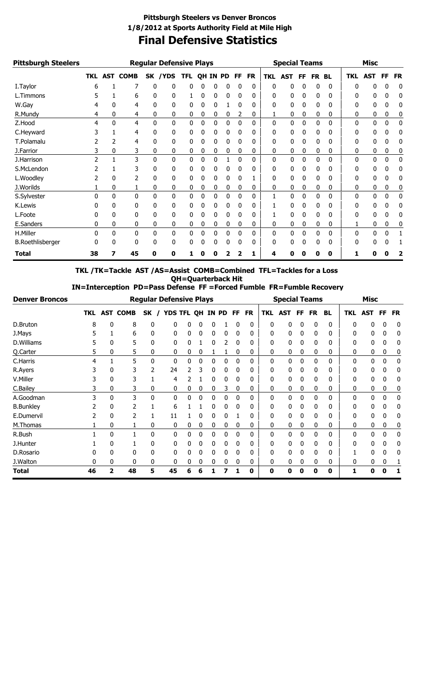### **Final Defensive Statistics Pittsburgh Steelers vs Denver Broncos 1/8/2012 at Sports Authority Field at Mile High**

| <b>Pittsburgh Steelers</b> |              |   |              |          | <b>Regular Defensive Plays</b> |            |   |          |   |           |           |            | <b>Special Teams</b> |    |              |           |              | <b>Misc</b>  |              |           |
|----------------------------|--------------|---|--------------|----------|--------------------------------|------------|---|----------|---|-----------|-----------|------------|----------------------|----|--------------|-----------|--------------|--------------|--------------|-----------|
|                            |              |   | TKL AST COMB |          | SK /YDS                        | <b>TFL</b> |   | QH IN PD |   | <b>FF</b> | <b>FR</b> | <b>TKL</b> | <b>AST</b>           | FF | FR.          | <b>BL</b> | <b>TKL</b>   | <b>AST</b>   | FF           | <b>FR</b> |
| I. Taylor                  | 6            |   | 7            | 0        | 0                              | 0          | 0 | 0        | 0 | 0         | 0         | 0          | 0                    | 0  | 0            | 0         | <sup>0</sup> | 0            | 0            | 0         |
| L.Timmons                  |              |   | 6            | 0        | 0                              |            | 0 | 0        | 0 | 0         | 0         | 0          | 0                    | 0  | 0            | 0         | 0            | 0            | 0            | 0         |
| W.Gay                      |              |   | 4            | 0        | 0                              | 0          | 0 | 0        |   | 0         | 0         | 0          | 0                    | 0  | 0            | 0         | 0            | 0            | 0            | 0         |
| R.Mundy                    | 4            | 0 | 4            | 0        | 0                              | 0          | 0 | 0        | 0 | 2         | 0         |            | 0                    | 0  | 0            | 0         | 0            | 0            | 0            | 0         |
| Z.Hood                     | 4            | 0 | 4            | $\Omega$ | 0                              | 0          | 0 | 0        | 0 | 0         | 0         | 0          | 0                    | 0  | 0            | 0         | $\Omega$     | $\mathbf{0}$ | 0            | 0         |
| C.Heyward                  |              |   | 4            | 0        | 0                              | 0          | 0 | 0        | 0 | 0         | 0         | 0          | 0                    | 0  | 0            | 0         | 0            | 0            | 0            | 0         |
| T.Polamalu                 |              |   | 4            | 0        | 0                              | 0          | 0 | 0        | 0 | 0         | 0         | 0          | 0                    | 0  | 0            | 0         | 0            | 0            | 0            | 0         |
| J.Farrior                  |              | 0 | 3            | 0        | 0                              | 0          | 0 | 0        | 0 | 0         | 0         | 0          | 0                    | 0  | 0            | 0         | 0            | 0            | 0            | 0         |
| J.Harrison                 |              |   | 3            | 0        | 0                              | 0          | 0 | 0        |   | 0         | 0         | 0          | 0                    | 0  | $\mathbf{0}$ | 0         | $\Omega$     | 0            | $\mathbf{0}$ | 0         |
| S.McLendon                 |              |   | 3            | 0        | 0                              | 0          | 0 | 0        |   |           | 0         | 0          | 0                    | 0  | 0            | 0         | 0            | 0            |              | 0         |
| L.Woodley                  |              | 0 | 2            | 0        | 0                              | 0          | 0 | 0        | 0 | 0         |           | 0          | 0                    | 0  | 0            | 0         | 0            | 0            | 0            | 0         |
| J.Worilds                  |              | 0 |              | 0        | 0                              | 0          | 0 | 0        | 0 | 0         | 0         | 0          | 0                    | 0  | 0            | 0         | 0            | 0            | 0            | 0         |
| S.Sylvester                | <sup>0</sup> | 0 | $\Omega$     | 0        | 0                              | 0          | 0 | 0        | 0 | 0         | 0         |            | 0                    | 0  | 0            | 0         | 0            | 0            | 0            | 0         |
| K.Lewis                    |              | 0 | 0            | 0        | 0                              | 0          | 0 | 0        | 0 | 0         | 0         |            | 0                    | 0  | 0            | 0         | 0            | 0            | 0            | 0         |
| L.Foote                    |              | 0 | 0            | 0        | 0                              | 0          | 0 | 0        | 0 | 0         | 0         |            | 0                    | 0  | 0            | 0         | 0            | 0            | 0            | 0         |
| E.Sanders                  | 0            | 0 | 0            | 0        | 0                              | 0          | 0 | 0        | 0 | 0         | 0         | 0          | 0                    | 0  | 0            | 0         |              | 0            | 0            | 0         |
| H.Miller                   | 0            | 0 | $\Omega$     | 0        | $\Omega$                       | 0          | 0 | 0        | 0 | $\Omega$  | 0         | 0          | 0                    | 0  | 0            | 0         | $\Omega$     | 0            | 0            |           |
| <b>B.Roethlisberger</b>    | 0            | 0 | 0            | 0        | 0                              | 0          |   | $\Omega$ | 0 | 0         | 0         | 0          | 0                    | 0  | 0            | 0         | 0            | 0            | 0            |           |
| <b>Total</b>               | 38           | 7 | 45           | Ω        | 0                              |            |   |          |   |           | 1         | 4          | n                    | O  | Ω            | 0         |              | n            | Ω            | 2         |

**TKL /TK=Tackle AST /AS=Assist COMB=Combined TFL=Tackles for a Loss QH=Quarterback Hit**<br>CH=Quarterback Hit<br>S Defense FF =Forced Fu  **IN=Interception PD=Pass Defense FF =Forced Fumble FR=Fumble Recovery**

| <b>Denver Broncos</b> |    |   |              | <b>Regular Defensive Plays</b> |    |                  |   |   |   |           |           |              | <b>Special Teams</b> |    |           |           |            | <b>Misc</b> |           |           |
|-----------------------|----|---|--------------|--------------------------------|----|------------------|---|---|---|-----------|-----------|--------------|----------------------|----|-----------|-----------|------------|-------------|-----------|-----------|
|                       |    |   | TKL AST COMB | SK                             |    | YDS TFL QH IN PD |   |   |   | <b>FF</b> | <b>FR</b> | TKL          | <b>AST</b>           | FF | <b>FR</b> | <b>BL</b> | <b>TKL</b> | <b>AST</b>  | <b>FF</b> | <b>FR</b> |
| D.Bruton              | 8  | 0 | 8            | 0                              | 0  | 0                | 0 | 0 |   | 0         | 0         | 0            | 0                    | 0  | 0         | 0         | 0          | 0           | 0         | 0         |
| J.Mays                |    |   | 6            | 0                              | 0  | 0                | 0 | 0 | 0 | 0         | 0         | 0            | 0                    | 0  | 0         | 0         | 0          | 0           | 0         | 0         |
| D.Williams            |    | 0 | 5            | 0                              | 0  |                  |   | 0 | 2 | 0         | 0         | 0            | 0                    | 0  | 0         | 0         | 0          | 0           | 0         | 0         |
| Q.Carter              | 5  | 0 | 5            | 0                              | 0  | 0                | 0 |   |   | 0         | 0         | 0            | 0                    | 0  | 0         | 0         | 0          | 0           | 0         | 0         |
| C.Harris              | 4  |   | 5            | 0                              | 0  | 0                | 0 | 0 | 0 | 0         | 0         | 0            | 0                    | 0  | 0         | 0         | 0          | 0           | 0         | 0         |
| R.Ayers               |    | 0 | 3            |                                | 24 | 2                | 3 | 0 | 0 | 0         | 0         | 0            | 0                    | 0  | 0         | 0         | 0          | 0           | 0         | 0         |
| V.Miller              |    | 0 | 3            |                                | 4  |                  |   | 0 | 0 | 0         | 0         | 0            | 0                    | 0  | 0         | 0         | 0          | 0           | 0         | 0         |
| C.Bailey              | 3  | 0 | 3            | 0                              | 0  | 0                | 0 | 0 | 3 | 0         | 0         | 0            | 0                    | 0  | 0         | 0         | 0          | 0           | 0         | 0         |
| A.Goodman             | 3  | 0 | 3            | 0                              | 0  | 0                | 0 | 0 | 0 | 0         | 0         | $\mathbf{0}$ | 0                    | 0  | 0         | 0         | 0          | 0           | 0         | 0         |
| <b>B.Bunkley</b>      |    | 0 | 2            |                                | 6  |                  |   | 0 | 0 | 0         | 0         | 0            | 0                    | 0  | 0         | 0         | 0          | 0           | 0         | 0         |
| E.Dumervil            |    | 0 | 2            |                                | 11 |                  | 0 | 0 | 0 |           | 0         | 0            | 0                    | 0  | 0         | 0         | 0          | 0           | 0         | 0         |
| M.Thomas              |    | 0 |              | 0                              | 0  | 0                | 0 | 0 | 0 | 0         | 0         | 0            | 0                    | 0  | 0         | 0         | 0          | 0           | 0         | 0         |
| R.Bush                |    | 0 |              | 0                              | 0  | 0                | 0 | 0 | 0 | 0         | 0         | 0            | 0                    | 0  | 0         | 0         | 0          | 0           | 0         | 0         |
| J.Hunter              |    | 0 |              | 0                              | 0  | 0                | 0 | 0 | 0 | 0         | 0         | 0            | 0                    | 0  | 0         | 0         | 0          | 0           | 0         | 0         |
| D.Rosario             |    | 0 | 0            | 0                              | 0  | 0                | 0 | 0 | 0 | 0         | 0         | 0            | 0                    | 0  | 0         | 0         |            | 0           | 0         | 0         |
| J.Walton              | 0  | 0 | 0            |                                | 0  | 0                | 0 | 0 | 0 | 0         | 0         | 0            | 0                    | 0  | 0         | 0         | 0          | 0           | 0         |           |
| Total                 | 46 | 2 | 48           | 5                              | 45 | 6                | 6 |   |   |           | 0         | 0            | 0                    | 0  | 0         | 0         | 1          | 0           | Ω         |           |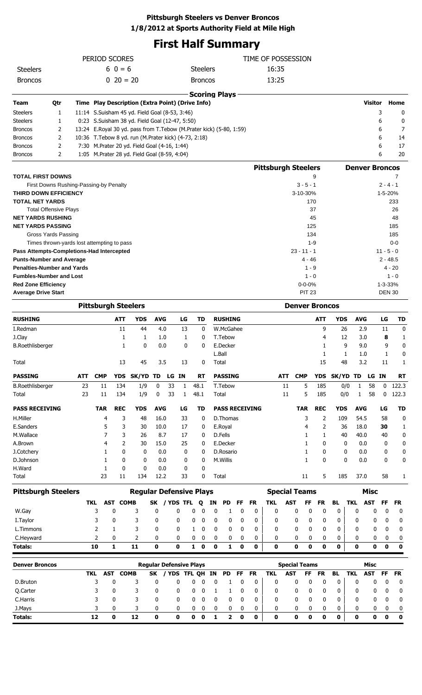# **First Half Summary**

| PERIOD SCORES                                                       |                                            |            |                            |             |                                                                                                  |             |                 |           |                                                |         |                      |           |                       | TIME OF POSSESSION         |            |                            |            |              |                       |                           |               |                   |
|---------------------------------------------------------------------|--------------------------------------------|------------|----------------------------|-------------|--------------------------------------------------------------------------------------------------|-------------|-----------------|-----------|------------------------------------------------|---------|----------------------|-----------|-----------------------|----------------------------|------------|----------------------------|------------|--------------|-----------------------|---------------------------|---------------|-------------------|
| <b>Steelers</b>                                                     |                                            | $60 = 6$   |                            |             |                                                                                                  |             | <b>Steelers</b> |           |                                                |         |                      | 16:35     |                       |                            |            |                            |            |              |                       |                           |               |                   |
| <b>Broncos</b>                                                      |                                            |            |                            | $0\ 20=20$  |                                                                                                  |             |                 |           | <b>Broncos</b>                                 |         |                      |           |                       | 13:25                      |            |                            |            |              |                       |                           |               |                   |
|                                                                     |                                            |            |                            |             |                                                                                                  |             |                 |           |                                                |         |                      |           |                       |                            |            |                            |            |              |                       |                           |               |                   |
| Team                                                                | Qtr                                        |            |                            |             | Time Play Description (Extra Point) (Drive Info)                                                 |             |                 |           |                                                |         | <b>Scoring Plays</b> |           |                       |                            |            |                            |            |              |                       | Visitor                   |               | Home              |
| <b>Steelers</b>                                                     | 1                                          |            |                            |             |                                                                                                  |             |                 |           |                                                |         |                      |           |                       |                            |            |                            |            |              |                       |                           | 3             | 0                 |
| <b>Steelers</b>                                                     | 1                                          |            |                            |             | 11:14 S.Suisham 45 yd. Field Goal (8-53, 3:46)<br>0:23 S.Suisham 38 yd. Field Goal (12-47, 5:50) |             |                 |           |                                                |         |                      |           |                       |                            |            |                            |            |              |                       |                           | 6             | 0                 |
| <b>Broncos</b>                                                      | 2                                          |            |                            |             | 13:24 E.Royal 30 yd. pass from T.Tebow (M.Prater kick) (5-80, 1:59)                              |             |                 |           |                                                |         |                      |           |                       |                            |            |                            |            |              |                       |                           | 6             | 7                 |
| <b>Broncos</b>                                                      | 2                                          |            |                            |             | 10:36 T.Tebow 8 yd. run (M.Prater kick) (4-73, 2:18)                                             |             |                 |           |                                                |         |                      |           |                       |                            |            |                            |            |              |                       |                           | 6             | 14                |
| <b>Broncos</b>                                                      | 2                                          |            |                            |             | 7:30 M.Prater 20 yd. Field Goal (4-16, 1:44)                                                     |             |                 |           |                                                |         |                      |           |                       |                            |            |                            |            |              |                       |                           | 6             | 17                |
| <b>Broncos</b>                                                      | 2                                          |            |                            |             | 1:05 M.Prater 28 yd. Field Goal (8-59, 4:04)                                                     |             |                 |           |                                                |         |                      |           |                       |                            |            |                            |            |              |                       |                           | 6             | 20                |
|                                                                     |                                            |            |                            |             |                                                                                                  |             |                 |           |                                                |         |                      |           |                       | <b>Pittsburgh Steelers</b> |            |                            |            |              | <b>Denver Broncos</b> |                           |               |                   |
| <b>TOTAL FIRST DOWNS</b>                                            |                                            |            |                            |             |                                                                                                  |             |                 |           |                                                |         |                      |           |                       |                            |            |                            | 9          |              |                       |                           |               | 7                 |
|                                                                     | First Downs Rushing-Passing-by Penalty     |            |                            |             |                                                                                                  |             |                 |           |                                                |         |                      |           |                       |                            |            | $3 - 5 - 1$                |            |              |                       |                           | $2 - 4 - 1$   |                   |
| <b>THIRD DOWN EFFICIENCY</b>                                        |                                            |            |                            |             |                                                                                                  |             |                 |           |                                                |         |                      |           |                       |                            |            | 3-10-30%                   |            |              |                       |                           | 1-5-20%       |                   |
| <b>TOTAL NET YARDS</b>                                              |                                            |            |                            |             |                                                                                                  |             |                 |           |                                                |         |                      |           |                       |                            |            |                            | 170        |              |                       |                           |               | 233               |
|                                                                     | <b>Total Offensive Plays</b>               |            |                            |             |                                                                                                  |             |                 |           |                                                |         |                      |           |                       |                            |            |                            | 37         |              |                       |                           |               | 26                |
| <b>NET YARDS RUSHING</b>                                            |                                            |            |                            |             |                                                                                                  |             |                 |           |                                                |         |                      |           |                       |                            |            |                            | 45         |              |                       |                           |               | 48                |
| <b>NET YARDS PASSING</b>                                            |                                            |            |                            |             |                                                                                                  |             |                 |           |                                                |         |                      |           |                       |                            |            |                            | 125        |              |                       |                           |               | 185               |
|                                                                     | Gross Yards Passing                        |            |                            |             |                                                                                                  |             |                 |           |                                                |         |                      |           |                       |                            |            |                            | 134        |              |                       |                           |               | 185               |
|                                                                     | Times thrown-yards lost attempting to pass |            |                            |             |                                                                                                  |             |                 |           |                                                |         |                      |           |                       |                            |            |                            | 1-9        |              |                       |                           |               | $0 - 0$           |
| Pass Attempts-Completions-Had Intercepted                           |                                            |            |                            |             |                                                                                                  |             |                 |           |                                                |         |                      |           |                       |                            |            | $23 - 11 - 1$              |            |              |                       |                           | $11 - 5 - 0$  |                   |
| <b>Punts-Number and Average</b>                                     |                                            |            |                            |             |                                                                                                  |             |                 |           |                                                |         |                      |           |                       |                            |            | 4 - 46                     |            |              |                       |                           | $2 - 48.5$    |                   |
| <b>Penalties-Number and Yards</b><br><b>Fumbles-Number and Lost</b> |                                            |            |                            |             |                                                                                                  |             |                 |           |                                                |         |                      |           |                       |                            |            | $1 - 9$<br>$1 - 0$         |            |              |                       |                           |               | 4 - 20<br>$1 - 0$ |
| <b>Red Zone Efficiency</b>                                          |                                            |            |                            |             |                                                                                                  |             |                 |           |                                                |         |                      |           |                       |                            |            | $0 - 0 - 0%$               |            |              |                       |                           | 1-3-33%       |                   |
| <b>Average Drive Start</b>                                          |                                            |            |                            |             |                                                                                                  |             |                 |           |                                                |         |                      |           |                       |                            |            | <b>PIT 23</b>              |            |              |                       |                           | <b>DEN 30</b> |                   |
|                                                                     |                                            |            |                            |             |                                                                                                  |             |                 |           |                                                |         |                      |           |                       |                            |            |                            |            |              |                       |                           |               |                   |
|                                                                     |                                            |            | <b>Pittsburgh Steelers</b> |             |                                                                                                  |             |                 |           |                                                |         |                      |           |                       |                            |            | <b>Denver Broncos</b>      |            |              |                       |                           |               |                   |
| <b>RUSHING</b>                                                      |                                            |            |                            | ATT         | <b>YDS</b>                                                                                       | <b>AVG</b>  |                 | LG        | TD                                             |         | <b>RUSHING</b>       |           |                       |                            |            |                            | ATT        | <b>YDS</b>   | <b>AVG</b>            |                           | LG            | TD                |
| I.Redman                                                            |                                            |            |                            | 11          | 44                                                                                               | 4.0         |                 | 13        | 0                                              |         | W.McGahee            |           |                       |                            |            |                            | 9          | 26           | 2.9                   |                           | 11            | 0                 |
| J.Clay                                                              |                                            |            |                            | 1           | 1                                                                                                | 1.0         |                 | 1         | 0                                              |         | T.Tebow              |           |                       |                            |            |                            | 4          | 12           | 3.0                   |                           | 8             | 1                 |
| <b>B.Roethlisberger</b>                                             |                                            |            |                            | 1           | 0                                                                                                | 0.0         |                 | 0         | 0                                              |         | E.Decker             |           |                       |                            |            |                            | 1          | 9            | 9.0                   |                           | 9             | 0                 |
|                                                                     |                                            |            |                            | 13          | 45.                                                                                              | 3.5         |                 | 13        |                                                | 0 Total | L.Ball               |           |                       |                            |            |                            | 1<br>15    | 1<br>48      | 1.0<br>3.2            |                           | 1<br>11       | 0<br>1            |
| Total                                                               |                                            |            |                            |             |                                                                                                  |             |                 |           |                                                |         |                      |           |                       |                            |            |                            |            |              |                       |                           |               |                   |
| <b>PASSING</b>                                                      |                                            | ATT        | <b>CMP</b>                 |             | YDS SK/YD TD                                                                                     |             |                 | LG IN     | <b>RT</b>                                      |         | <b>PASSING</b>       |           |                       |                            | ATT        | <b>CMP</b>                 |            | YDS SK/YD TD |                       | LG IN                     |               | <b>RT</b>         |
| <b>B.Roethlisberger</b>                                             |                                            | 23         | 11                         | 134         | 1/9                                                                                              | 0           | 33              | 1         | 48.1                                           |         | T.Tebow              |           |                       |                            | 11         | 5                          | 185        | 0/0          | 1                     | 58                        | 0             | 122.3             |
| Total                                                               |                                            | 23         | 11                         | 134         | 1/9                                                                                              | 0           | 33              | 1         | 48.1                                           |         | Total                |           |                       |                            | 11         | 5                          | 185        | 0/0          | 1                     | 58                        | 0             | 122.3             |
| <b>PASS RECEIVING</b>                                               |                                            |            | <b>TAR</b>                 | <b>REC</b>  | <b>YDS</b>                                                                                       | <b>AVG</b>  |                 | LG        | TD                                             |         |                      |           | <b>PASS RECEIVING</b> |                            |            | <b>TAR</b>                 | <b>REC</b> | <b>YDS</b>   | <b>AVG</b>            |                           | LG            | <b>TD</b>         |
| H.Miller                                                            |                                            |            | 4                          | 3           | 48                                                                                               | 16.0        |                 | 33        | 0                                              |         | D.Thomas             |           |                       |                            |            | 3                          | 2          | 109          | 54.5                  |                           | 58            | 0                 |
| E.Sanders                                                           |                                            |            | 5                          | 3           | 30                                                                                               | 10.0        |                 | 17        | 0                                              |         | E.Royal              |           |                       |                            |            | 4                          | 2          | 36           | 18.0                  |                           | 30            | 1                 |
| M.Wallace                                                           |                                            |            | 7                          | 3           | 26                                                                                               | 8.7         |                 | 17        | 0                                              |         | D.Fells              |           |                       |                            |            | 1                          | 1          | 40           | 40.0                  |                           | 40            | 0                 |
| A.Brown                                                             |                                            |            | 4                          | 2           | 30                                                                                               | 15.0        |                 | 25        | 0                                              |         | E.Decker             |           |                       |                            |            | 1                          | 0          | 0            | 0.0                   |                           | 0             | 0                 |
| J.Cotchery                                                          |                                            |            | 1                          | 0           | 0                                                                                                | 0.0         |                 | 0         | 0                                              |         | D.Rosario            |           |                       |                            |            | 1                          | 0          | 0            | 0.0                   |                           | 0             | 0                 |
| D.Johnson                                                           |                                            |            | 1                          | 0           | 0                                                                                                | 0.0         |                 | 0         | 0                                              |         | M.Willis             |           |                       |                            |            | 1                          | 0          | 0            | 0.0                   |                           | 0             | 0                 |
| H.Ward                                                              |                                            |            | 1<br>23                    | 0<br>11     | 0                                                                                                | 0.0         |                 | 0<br>33   | 0<br>0                                         |         |                      |           |                       |                            |            |                            | 5          | 185          | 37.0                  |                           | 58            |                   |
| Total                                                               |                                            |            |                            |             | 134                                                                                              | 12.2        |                 |           |                                                |         | Total                |           |                       |                            |            | 11                         |            |              |                       |                           |               | 1                 |
| <b>Pittsburgh Steelers</b>                                          |                                            |            |                            |             | <b>Regular Defensive Plays</b>                                                                   |             |                 |           |                                                |         |                      |           |                       |                            |            | <b>Special Teams</b>       |            |              |                       | <b>Misc</b>               |               |                   |
|                                                                     |                                            |            | AST<br>TKL                 | <b>COMB</b> |                                                                                                  | <b>SK</b>   |                 | / YDS TFL | Q                                              | ΙN      | <b>PD</b>            | <b>FF</b> | <b>FR</b>             | <b>TKL</b>                 | <b>AST</b> | FF                         | <b>FR</b>  | <b>BL</b>    | TKL                   | <b>AST</b>                | <b>FF</b>     | <b>FR</b>         |
| W.Gay                                                               |                                            |            | 3                          | 0           | 3                                                                                                | 0           |                 | 0         | 0<br>0                                         | 0       | 1                    | 0         | 0                     | 0                          |            | 0<br>0                     | 0          | 0            | 0                     | 0                         | 0             | 0                 |
| I. Taylor                                                           |                                            |            | 3                          | 0           | 3                                                                                                | 0           |                 | 0         | 0<br>0                                         | 0       | 0                    | 0         | 0                     | 0                          |            | 0<br>0                     | 0          | 0            | 0                     | 0                         | 0             | 0                 |
| L.Timmons                                                           |                                            |            | 2                          | 1           | 3                                                                                                | 0           |                 | 0         | 0<br>$\mathbf{1}$                              | 0       | 0                    | 0         | 0                     | 0                          |            | 0<br>0                     | 0          | 0            | 0                     | 0                         | 0             | 0                 |
| C.Heyward                                                           |                                            |            | 2                          | 0           | 2                                                                                                | 0           |                 | 0         | 0<br>0                                         | 0       | 0                    | 0         | 0                     | 0                          |            | 0<br>0                     | 0          | 0            | 0                     | 0                         | 0             | 0                 |
| Totals:                                                             |                                            |            | 10                         | 1           | 11                                                                                               | $\mathbf 0$ |                 | $\bf{0}$  | $\mathbf 0$<br>$\mathbf{1}$                    | 0       | 1                    | 0         | 0                     | 0                          |            | 0<br>$\mathbf 0$           | $\bf{0}$   | $\mathbf 0$  | 0                     | $\bf{0}$                  | 0             | $\mathbf 0$       |
|                                                                     |                                            |            |                            |             |                                                                                                  |             |                 |           |                                                |         |                      |           |                       |                            |            |                            |            |              |                       |                           |               |                   |
| <b>Denver Broncos</b>                                               |                                            | <b>TKL</b> | <b>AST</b>                 | <b>COMB</b> |                                                                                                  | SK          |                 |           | <b>Regular Defensive Plays</b><br>/ YDS TFL QH | IN      | <b>PD</b>            | FF        | <b>FR</b>             | <b>TKL</b>                 | <b>AST</b> | <b>Special Teams</b><br>FF | <b>FR</b>  | <b>BL</b>    | <b>TKL</b>            | <b>Misc</b><br><b>AST</b> | FF            | <b>FR</b>         |
| D.Bruton                                                            |                                            |            | 3                          | 0           | 3                                                                                                | 0           |                 | 0         | 0<br>0                                         | 0       | 1                    | 0         | 0                     | 0                          |            | 0<br>0                     | 0          | 0            | 0                     | 0                         | 0             | 0                 |
| Q.Carter                                                            |                                            |            | 3                          | 0           | 3                                                                                                | 0           |                 | 0         | 0<br>0                                         | 1       | 1                    | 0         | 0                     | 0                          |            | 0<br>0                     | 0          | 0            | 0                     | 0                         | 0             | 0                 |
| C.Harris                                                            |                                            |            | 3                          | 0           | 3                                                                                                | 0           |                 | 0         | 0<br>0                                         | 0       | 0                    | 0         | 0                     | 0                          |            | 0<br>0                     | 0          | 0            | 0                     | 0                         | 0             | 0                 |
| J.Mays                                                              |                                            |            | 3                          | 0           | 3                                                                                                | 0           |                 | 0         | 0<br>0                                         | 0       | 0                    | 0         | 0                     | 0                          |            | 0<br>0                     | 0          | 0            | $\mathbf{0}$          | 0                         | 0             | 0                 |

**Totals: 12 0 12 0 0 0 0 1 2 0 0 0 0 0 0 0 0 0 0 0**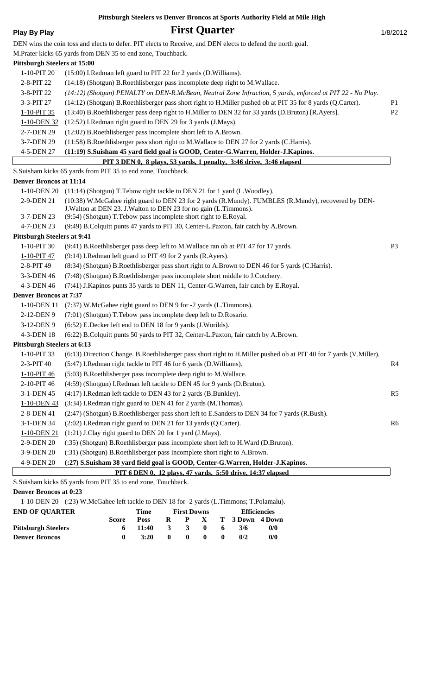# **Play By Play First Quarter** 1/8/2012

|                                     | DEN wins the coin toss and elects to defer. PIT elects to Receive, and DEN elects to defend the north goal.                                                               |                |
|-------------------------------------|---------------------------------------------------------------------------------------------------------------------------------------------------------------------------|----------------|
|                                     | M.Prater kicks 65 yards from DEN 35 to end zone, Touchback.                                                                                                               |                |
| <b>Pittsburgh Steelers at 15:00</b> |                                                                                                                                                                           |                |
| 1-10-PIT 20                         | (15:00) I.Redman left guard to PIT 22 for 2 yards (D.Williams).                                                                                                           |                |
| 2-8-PIT 22                          | (14:18) (Shotgun) B.Roethlisberger pass incomplete deep right to M.Wallace.                                                                                               |                |
| 3-8-PIT 22                          | (14:12) (Shotgun) PENALTY on DEN-R.McBean, Neutral Zone Infraction, 5 yards, enforced at PIT 22 - No Play.                                                                |                |
| 3-3-PIT 27                          | (14:12) (Shotgun) B.Roethlisberger pass short right to H.Miller pushed ob at PIT 35 for 8 yards (Q.Carter).                                                               | P <sub>1</sub> |
| 1-10-PIT 35                         | (13:40) B.Roethlisberger pass deep right to H.Miller to DEN 32 for 33 yards (D.Bruton) [R.Ayers].                                                                         | P2             |
| 1-10-DEN 32                         | (12:52) I.Redman right guard to DEN 29 for 3 yards (J.Mays).                                                                                                              |                |
| 2-7-DEN 29                          | (12:02) B.Roethlisberger pass incomplete short left to A.Brown.                                                                                                           |                |
| 3-7-DEN 29                          | (11:58) B.Roethlisberger pass short right to M.Wallace to DEN 27 for 2 yards (C.Harris).                                                                                  |                |
| 4-5-DEN 27                          | (11:19) S.Suisham 45 yard field goal is GOOD, Center-G.Warren, Holder-J.Kapinos.                                                                                          |                |
|                                     | PIT 3 DEN 0, 8 plays, 53 yards, 1 penalty, 3:46 drive, 3:46 elapsed                                                                                                       |                |
|                                     | S.Suisham kicks 65 yards from PIT 35 to end zone, Touchback.                                                                                                              |                |
| <b>Denver Broncos at 11:14</b>      |                                                                                                                                                                           |                |
|                                     | 1-10-DEN 20 (11:14) (Shotgun) T. Tebow right tackle to DEN 21 for 1 yard (L. Woodley).                                                                                    |                |
| 2-9-DEN 21                          | (10:38) W.McGahee right guard to DEN 23 for 2 yards (R.Mundy). FUMBLES (R.Mundy), recovered by DEN-<br>J. Walton at DEN 23. J. Walton to DEN 23 for no gain (L. Timmons). |                |
| 3-7-DEN 23                          | (9:54) (Shotgun) T. Tebow pass incomplete short right to E. Royal.                                                                                                        |                |
| 4-7-DEN 23                          | (9:49) B.Colquitt punts 47 yards to PIT 30, Center-L.Paxton, fair catch by A.Brown.                                                                                       |                |
| <b>Pittsburgh Steelers at 9:41</b>  |                                                                                                                                                                           |                |
| 1-10-PIT 30                         | (9:41) B.Roethlisberger pass deep left to M.Wallace ran ob at PIT 47 for 17 yards.                                                                                        | P <sub>3</sub> |
| 1-10-PIT 47                         | (9:14) I.Redman left guard to PIT 49 for 2 yards (R.Ayers).                                                                                                               |                |
| 2-8-PIT 49                          | (8:34) (Shotgun) B.Roethlisberger pass short right to A.Brown to DEN 46 for 5 yards (C.Harris).                                                                           |                |
| 3-3-DEN 46                          | (7:48) (Shotgun) B.Roethlisberger pass incomplete short middle to J.Cotchery.                                                                                             |                |
| 4-3-DEN 46                          | (7:41) J. Kapinos punts 35 yards to DEN 11, Center-G. Warren, fair catch by E. Royal.                                                                                     |                |
| <b>Denver Broncos at 7:37</b>       |                                                                                                                                                                           |                |
| 1-10-DEN 11                         | (7:37) W.McGahee right guard to DEN 9 for -2 yards (L.Timmons).                                                                                                           |                |
| 2-12-DEN 9                          | (7:01) (Shotgun) T.Tebow pass incomplete deep left to D.Rosario.                                                                                                          |                |
| 3-12-DEN 9                          | (6:52) E.Decker left end to DEN 18 for 9 yards (J.Worilds).                                                                                                               |                |
| 4-3-DEN 18                          | (6:22) B.Colquitt punts 50 yards to PIT 32, Center-L.Paxton, fair catch by A.Brown.                                                                                       |                |
| <b>Pittsburgh Steelers at 6:13</b>  |                                                                                                                                                                           |                |
| 1-10-PIT 33                         | (6:13) Direction Change. B.Roethlisberger pass short right to H.Miller pushed ob at PIT 40 for 7 yards (V.Miller).                                                        |                |
| 2-3-PIT 40                          | (5:47) I.Redman right tackle to PIT 46 for 6 yards (D.Williams).                                                                                                          | R <sub>4</sub> |
| 1-10-PIT 46                         | (5:03) B.Roethlisberger pass incomplete deep right to M.Wallace.                                                                                                          |                |
| 2-10-PIT 46                         | (4:59) (Shotgun) I.Redman left tackle to DEN 45 for 9 yards (D.Bruton).                                                                                                   |                |
| 3-1-DEN 45                          | (4:17) I.Redman left tackle to DEN 43 for 2 yards (B.Bunkley).                                                                                                            | R <sub>5</sub> |
| 1-10-DEN 43                         | (3:34) I.Redman right guard to DEN 41 for 2 yards (M.Thomas).                                                                                                             |                |
| 2-8-DEN 41                          | (2:47) (Shotgun) B.Roethlisberger pass short left to E.Sanders to DEN 34 for 7 yards (R.Bush).                                                                            |                |
| 3-1-DEN 34                          | (2:02) I.Redman right guard to DEN 21 for 13 yards (Q.Carter).                                                                                                            | R <sub>6</sub> |
| 1-10-DEN 21                         | (1:21) J.Clay right guard to DEN 20 for 1 yard (J.Mays).                                                                                                                  |                |
| 2-9-DEN 20                          | (:35) (Shotgun) B.Roethlisberger pass incomplete short left to H.Ward (D.Bruton).                                                                                         |                |
| 3-9-DEN 20                          | (:31) (Shotgun) B.Roethlisberger pass incomplete short right to A.Brown.                                                                                                  |                |
| 4-9-DEN 20                          | (:27) S.Suisham 38 yard field goal is GOOD, Center-G.Warren, Holder-J.Kapinos.                                                                                            |                |
|                                     | PIT 6 DEN 0, 12 plays, 47 yards, 5:50 drive, 14:37 elapsed                                                                                                                |                |
|                                     | S.Suisham kicks 65 yards from PIT 35 to end zone, Touchback.                                                                                                              |                |

**Denver Broncos at 0:23**

1-10-DEN 20 (:23) W.McGahee left tackle to DEN 18 for -2 yards (L.Timmons; T.Polamalu).

| <b>END OF OUARTER</b>      |              | Time        |              | <b>First Downs</b> |              |    |                   | <b>Efficiencies</b> |
|----------------------------|--------------|-------------|--------------|--------------------|--------------|----|-------------------|---------------------|
|                            | <b>Score</b> | <b>Poss</b> | R            | $\mathbf{P}$       |              |    | X T 3 Down 4 Down |                     |
| <b>Pittsburgh Steelers</b> |              | 11:40       | $\mathbf{3}$ | $\mathbf{3}$       | $\mathbf{0}$ | -6 | 3/6               | 0/0                 |
| <b>Denver Broncos</b>      |              | 3:20        | $\mathbf{0}$ | -0                 | $\mathbf{0}$ | -0 | 0/2               | 0/0                 |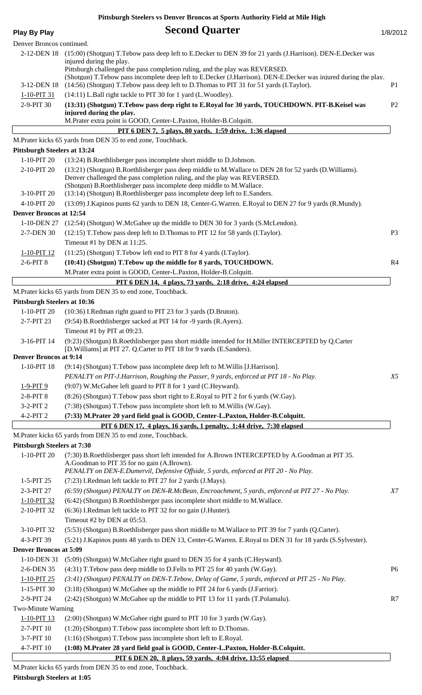# **Play By Play Play Play Play Play Play Play Play Play Play Play Play Play Play Play Play Play Play Play Play Play Play Play Play Play Play Play Play Play Play Pla**

| Denver Broncos continued.                          |                                                                                                                                                                                                                                                           |                |
|----------------------------------------------------|-----------------------------------------------------------------------------------------------------------------------------------------------------------------------------------------------------------------------------------------------------------|----------------|
| 2-12-DEN 18                                        | (15:00) (Shotgun) T. Tebow pass deep left to E. Decker to DEN 39 for 21 yards (J. Harrison). DEN-E. Decker was<br>injured during the play.<br>Pittsburgh challenged the pass completion ruling, and the play was REVERSED.                                |                |
| 3-12-DEN 18                                        | (Shotgun) T. Tebow pass incomplete deep left to E. Decker (J. Harrison). DEN-E. Decker was injured during the play.<br>(14:56) (Shotgun) T. Tebow pass deep left to D. Thomas to PIT 31 for 51 yards (I. Taylor).                                         | P1             |
| 1-10-PIT 31                                        | (14:11) L.Ball right tackle to PIT 30 for 1 yard (L.Woodley).                                                                                                                                                                                             |                |
| 2-9-PIT 30                                         | (13:31) (Shotgun) T. Tebow pass deep right to E. Royal for 30 yards, TOUCHDOWN. PIT-B. Keisel was<br>injured during the play.                                                                                                                             | P <sub>2</sub> |
|                                                    | M.Prater extra point is GOOD, Center-L.Paxton, Holder-B.Colquitt.                                                                                                                                                                                         |                |
|                                                    | PIT 6 DEN 7, 5 plays, 80 yards, 1:59 drive, 1:36 elapsed                                                                                                                                                                                                  |                |
|                                                    | M.Prater kicks 65 yards from DEN 35 to end zone, Touchback.                                                                                                                                                                                               |                |
| <b>Pittsburgh Steelers at 13:24</b><br>1-10-PIT 20 | (13:24) B.Roethlisberger pass incomplete short middle to D.Johnson.                                                                                                                                                                                       |                |
| 2-10-PIT 20                                        | (13:21) (Shotgun) B.Roethlisberger pass deep middle to M.Wallace to DEN 28 for 52 yards (D.Williams).<br>Denver challenged the pass completion ruling, and the play was REVERSED.<br>(Shotgun) B.Roethlisberger pass incomplete deep middle to M.Wallace. |                |
| 3-10-PIT 20                                        | (13:14) (Shotgun) B.Roethlisberger pass incomplete deep left to E.Sanders.                                                                                                                                                                                |                |
| 4-10-PIT 20                                        | (13:09) J.Kapinos punts 62 yards to DEN 18, Center-G.Warren. E.Royal to DEN 27 for 9 yards (R.Mundy).                                                                                                                                                     |                |
| <b>Denver Broncos at 12:54</b>                     |                                                                                                                                                                                                                                                           |                |
| 1-10-DEN 27                                        | (12:54) (Shotgun) W.McGahee up the middle to DEN 30 for 3 yards (S.McLendon).                                                                                                                                                                             |                |
| 2-7-DEN 30                                         | (12:15) T. Tebow pass deep left to D. Thomas to PIT 12 for 58 yards (I. Taylor).                                                                                                                                                                          | P <sub>3</sub> |
|                                                    | Timeout #1 by DEN at 11:25.                                                                                                                                                                                                                               |                |
| 1-10-PIT 12<br>2-6-PIT 8                           | (11:25) (Shotgun) T.Tebow left end to PIT 8 for 4 yards (I.Taylor).<br>(10:41) (Shotgun) T.Tebow up the middle for 8 yards, TOUCHDOWN.                                                                                                                    | R <sub>4</sub> |
|                                                    | M.Prater extra point is GOOD, Center-L.Paxton, Holder-B.Colquitt.                                                                                                                                                                                         |                |
|                                                    | PIT 6 DEN 14, 4 plays, 73 yards, 2:18 drive, 4:24 elapsed                                                                                                                                                                                                 |                |
|                                                    | M.Prater kicks 65 yards from DEN 35 to end zone, Touchback.                                                                                                                                                                                               |                |
| <b>Pittsburgh Steelers at 10:36</b>                |                                                                                                                                                                                                                                                           |                |
| 1-10-PIT 20                                        | (10:36) I.Redman right guard to PIT 23 for 3 yards (D.Bruton).                                                                                                                                                                                            |                |
| 2-7-PIT 23                                         | (9:54) B.Roethlisberger sacked at PIT 14 for -9 yards (R.Ayers).                                                                                                                                                                                          |                |
|                                                    | Timeout #1 by PIT at 09:23.                                                                                                                                                                                                                               |                |
| 3-16-PIT 14                                        | (9:23) (Shotgun) B.Roethlisberger pass short middle intended for H.Miller INTERCEPTED by Q.Carter<br>[D. Williams] at PIT 27. Q. Carter to PIT 18 for 9 yards (E. Sanders).                                                                               |                |
| <b>Denver Broncos at 9:14</b>                      |                                                                                                                                                                                                                                                           |                |
| 1-10-PIT 18                                        | (9:14) (Shotgun) T.Tebow pass incomplete deep left to M.Willis [J.Harrison].                                                                                                                                                                              |                |
|                                                    | PENALTY on PIT-J.Harrison, Roughing the Passer, 9 yards, enforced at PIT 18 - No Play.                                                                                                                                                                    | X5             |
| 1-9-PIT 9                                          | (9:07) W.McGahee left guard to PIT 8 for 1 yard (C.Heyward).                                                                                                                                                                                              |                |
| 2-8-PIT 8                                          | (8:26) (Shotgun) T.Tebow pass short right to E.Royal to PIT 2 for 6 yards (W.Gay).                                                                                                                                                                        |                |
| 3-2-PIT 2                                          | (7:38) (Shotgun) T.Tebow pass incomplete short left to M.Willis (W.Gay).                                                                                                                                                                                  |                |
| 4-2-PIT 2                                          | (7:33) M.Prater 20 yard field goal is GOOD, Center-L.Paxton, Holder-B.Colquitt.                                                                                                                                                                           |                |
|                                                    | PIT 6 DEN 17, 4 plays, 16 yards, 1 penalty, 1:44 drive, 7:30 elapsed                                                                                                                                                                                      |                |
| <b>Pittsburgh Steelers at 7:30</b>                 | M.Prater kicks 65 yards from DEN 35 to end zone, Touchback.                                                                                                                                                                                               |                |
| 1-10-PIT 20                                        | (7:30) B.Roethlisberger pass short left intended for A.Brown INTERCEPTED by A.Goodman at PIT 35.                                                                                                                                                          |                |
|                                                    | A.Goodman to PIT 35 for no gain (A.Brown).<br>PENALTY on DEN-E.Dumervil, Defensive Offside, 5 yards, enforced at PIT 20 - No Play.                                                                                                                        |                |
| 1-5-PIT 25                                         | (7:23) I.Redman left tackle to PIT 27 for 2 yards (J.Mays).                                                                                                                                                                                               |                |
| 2-3-PIT 27                                         | (6:59) (Shotgun) PENALTY on DEN-R.McBean, Encroachment, 5 yards, enforced at PIT 27 - No Play.                                                                                                                                                            | $X\mathcal{T}$ |
| 1-10-PIT 32                                        | (6:42) (Shotgun) B.Roethlisberger pass incomplete short middle to M.Wallace.                                                                                                                                                                              |                |
| 2-10-PIT 32                                        | (6:36) I.Redman left tackle to PIT 32 for no gain (J.Hunter).<br>Timeout #2 by DEN at 05:53.                                                                                                                                                              |                |
| 3-10-PIT 32                                        | (5:53) (Shotgun) B.Roethlisberger pass short middle to M.Wallace to PIT 39 for 7 yards (Q.Carter).                                                                                                                                                        |                |
| 4-3-PIT 39                                         | (5.21) J.Kapinos punts 48 yards to DEN 13, Center-G.Warren. E.Royal to DEN 31 for 18 yards (S.Sylvester).                                                                                                                                                 |                |
| <b>Denver Broncos at 5:09</b>                      |                                                                                                                                                                                                                                                           |                |
| 1-10-DEN 31                                        | (5:09) (Shotgun) W.McGahee right guard to DEN 35 for 4 yards (C.Heyward).                                                                                                                                                                                 |                |
| 2-6-DEN 35                                         | (4:31) T.Tebow pass deep middle to D.Fells to PIT 25 for 40 yards (W.Gay).                                                                                                                                                                                | P <sub>6</sub> |
| 1-10-PIT 25                                        | (3:41) (Shotgun) PENALTY on DEN-T.Tebow, Delay of Game, 5 yards, enforced at PIT 25 - No Play.                                                                                                                                                            |                |
| 1-15-PIT 30                                        | (3:18) (Shotgun) W.McGahee up the middle to PIT 24 for 6 yards (J.Farrior).                                                                                                                                                                               |                |
| 2-9-PIT 24                                         | (2:42) (Shotgun) W.McGahee up the middle to PIT 13 for 11 yards (T.Polamalu).                                                                                                                                                                             | R7             |
| Two-Minute Warning                                 |                                                                                                                                                                                                                                                           |                |
| 1-10-PIT 13                                        | (2:00) (Shotgun) W.McGahee right guard to PIT 10 for 3 yards (W.Gay).                                                                                                                                                                                     |                |
| 2-7-PIT 10                                         | (1:20) (Shotgun) T.Tebow pass incomplete short left to D.Thomas.                                                                                                                                                                                          |                |
| 3-7-PIT 10                                         | (1:16) (Shotgun) T.Tebow pass incomplete short left to E.Royal.                                                                                                                                                                                           |                |
| 4-7-PIT 10                                         | (1:08) M.Prater 28 yard field goal is GOOD, Center-L.Paxton, Holder-B.Colquitt.                                                                                                                                                                           |                |
|                                                    | PIT 6 DEN 20, 8 plays, 59 yards, 4:04 drive, 13:55 elapsed                                                                                                                                                                                                |                |

M.Prater kicks 65 yards from DEN 35 to end zone, Touchback.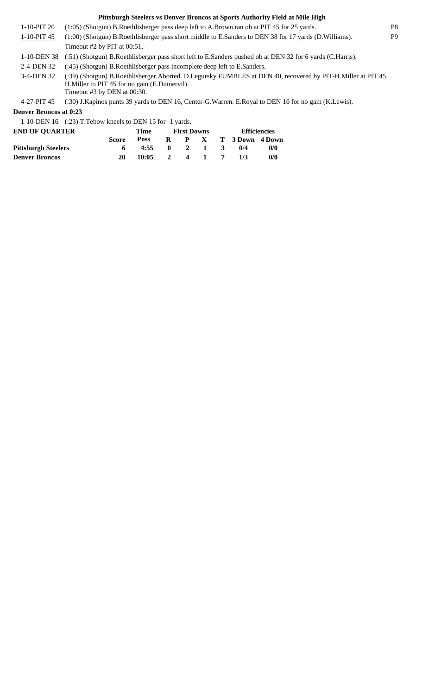1-10-PIT 20 (1:05) (Shotgun) B.Roethlisberger pass deep left to A.Brown ran ob at PIT 45 for 25 yards. P8

1-10-PIT 45 (1:00) (Shotgun) B.Roethlisberger pass short middle to E.Sanders to DEN 38 for 17 yards (D.Williams). P9 Timeout #2 by PIT at 00:51.

1-10-DEN 38 (:51) (Shotgun) B.Roethlisberger pass short left to E.Sanders pushed ob at DEN 32 for 6 yards (C.Harris).

2-4-DEN 32 (:45) (Shotgun) B.Roethlisberger pass incomplete deep left to E.Sanders.

(:39) (Shotgun) B.Roethlisberger Aborted. D.Legursky FUMBLES at DEN 40, recovered by PIT-H.Miller at PIT 45. H.Miller to PIT 45 for no gain (E.Dumervil). 3-4-DEN 32 Timeout #3 by DEN at 00:30.

4-27-PIT 45 (:30) J.Kapinos punts 39 yards to DEN 16, Center-G.Warren. E.Royal to DEN 16 for no gain (K.Lewis).

### **Denver Broncos at 0:23**

1-10-DEN 16 (:23) T.Tebow kneels to DEN 15 for -1 yards.

| <b>END OF OUARTER</b>      |              | Time        | <b>First Downs</b> |  | <b>Efficiencies</b>     |     |  |  |
|----------------------------|--------------|-------------|--------------------|--|-------------------------|-----|--|--|
|                            | <b>Score</b> | <b>Poss</b> |                    |  | R P X T 3Down 4Down     |     |  |  |
| <b>Pittsburgh Steelers</b> |              | 4:55        | $0 \t 2 \t 1 \t 3$ |  | $\mathbf{0}/\mathbf{4}$ | 0/0 |  |  |
| <b>Denver Broncos</b>      | 20           | 10:05       | 2 4 1              |  | 1/3                     | 0/0 |  |  |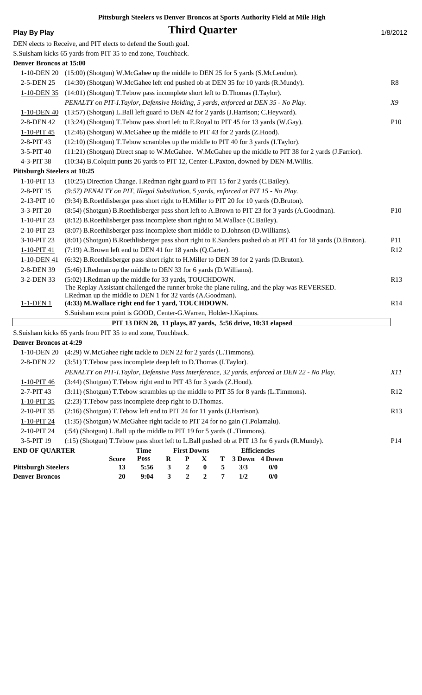|  | Plav Bv Plav |
|--|--------------|
|  |              |

# **Play By Play Play Play Play Play Third Quarter 1/8/2012 Play Play Play Play Play Play Play Play Play Play Play Play Play Play Play Play Play Play Play Play Play Play**

DEN elects to Receive, and PIT elects to defend the South goal.

S.Suisham kicks 65 yards from PIT 35 to end zone, Touchback.

| <b>Denver Broncos at 15:00</b>      |                                                                                                                 |                 |
|-------------------------------------|-----------------------------------------------------------------------------------------------------------------|-----------------|
| 1-10-DEN 20                         | (15:00) (Shotgun) W.McGahee up the middle to DEN 25 for 5 yards (S.McLendon).                                   |                 |
| 2-5-DEN 25                          | (14:30) (Shotgun) W.McGahee left end pushed ob at DEN 35 for 10 yards (R.Mundy).                                | R8              |
| $1-10-DEN$ 35                       | (14:01) (Shotgun) T.Tebow pass incomplete short left to D.Thomas (I.Taylor).                                    |                 |
|                                     | PENALTY on PIT-I.Taylor, Defensive Holding, 5 yards, enforced at DEN 35 - No Play.                              | X9              |
| 1-10-DEN 40                         | (13:57) (Shotgun) L.Ball left guard to DEN 42 for 2 yards (J.Harrison; C.Heyward).                              |                 |
| 2-8-DEN 42                          | (13:24) (Shotgun) T.Tebow pass short left to E.Royal to PIT 45 for 13 yards (W.Gay).                            | P10             |
| $1 - 10 - PIT$ 45                   | (12:46) (Shotgun) W.McGahee up the middle to PIT 43 for 2 yards (Z.Hood).                                       |                 |
| 2-8-PIT 43                          | (12:10) (Shotgun) T.Tebow scrambles up the middle to PIT 40 for 3 yards (I.Taylor).                             |                 |
| 3-5-PIT 40                          | (11:21) (Shotgun) Direct snap to W.McGahee. W.McGahee up the middle to PIT 38 for 2 yards (J.Farrior).          |                 |
| 4-3-PIT 38                          | (10:34) B.Colquitt punts 26 yards to PIT 12, Center-L.Paxton, downed by DEN-M.Willis.                           |                 |
| <b>Pittsburgh Steelers at 10:25</b> |                                                                                                                 |                 |
| 1-10-PIT 13                         | (10:25) Direction Change. I.Redman right guard to PIT 15 for 2 yards (C.Bailey).                                |                 |
| 2-8-PIT 15                          | (9:57) PENALTY on PIT, Illegal Substitution, 5 yards, enforced at PIT 15 - No Play.                             |                 |
| 2-13-PIT 10                         | (9:34) B.Roethlisberger pass short right to H.Miller to PIT 20 for 10 yards (D.Bruton).                         |                 |
| 3-3-PIT 20                          | (8:54) (Shotgun) B.Roethlisberger pass short left to A.Brown to PIT 23 for 3 yards (A.Goodman).                 | P10             |
| 1-10-PIT 23                         | (8:12) B.Roethlisberger pass incomplete short right to M.Wallace (C.Bailey).                                    |                 |
| 2-10-PIT 23                         | (8:07) B.Roethlisberger pass incomplete short middle to D.Johnson (D.Williams).                                 |                 |
| 3-10-PIT 23                         | (8:01) (Shotgun) B.Roethlisberger pass short right to E.Sanders pushed ob at PIT 41 for 18 yards (D.Bruton).    | P11             |
| $1-10-PIT$ 41                       | (7:19) A.Brown left end to DEN 41 for 18 yards (Q.Carter).                                                      | R12             |
| 1-10-DEN 41                         | (6:32) B.Roethlisberger pass short right to H.Miller to DEN 39 for 2 yards (D.Bruton).                          |                 |
| 2-8-DEN 39                          | (5:46) I.Redman up the middle to DEN 33 for 6 yards (D.Williams).                                               |                 |
| 3-2-DEN 33                          | (5:02) I.Redman up the middle for 33 yards, TOUCHDOWN.                                                          | R13             |
|                                     | The Replay Assistant challenged the runner broke the plane ruling, and the play was REVERSED.                   |                 |
| $1-1-DEN1$                          | I.Redman up the middle to DEN 1 for 32 yards (A.Goodman).<br>(4:33) M. Wallace right end for 1 yard, TOUCHDOWN. | R14             |
|                                     | S.Suisham extra point is GOOD, Center-G.Warren, Holder-J.Kapinos.                                               |                 |
|                                     | PIT 13 DEN 20, 11 plays, 87 yards, 5:56 drive, 10:31 elapsed                                                    |                 |
|                                     | S.Suisham kicks 65 yards from PIT 35 to end zone, Touchback.                                                    |                 |
| <b>Denver Broncos at 4:29</b>       |                                                                                                                 |                 |
|                                     | 1-10-DEN 20 (4:29) W.McGahee right tackle to DEN 22 for 2 yards (L.Timmons).                                    |                 |
| 2-8-DEN 22                          | (3:51) T. Tebow pass incomplete deep left to D. Thomas (I. Taylor).                                             |                 |
|                                     | PENALTY on PIT-I.Taylor, Defensive Pass Interference, 32 yards, enforced at DEN 22 - No Play.                   | X11             |
| 1-10-PIT 46                         | (3:44) (Shotgun) T.Tebow right end to PIT 43 for 3 yards (Z.Hood).                                              |                 |
| 2-7-PIT 43                          | (3:11) (Shotgun) T.Tebow scrambles up the middle to PIT 35 for 8 yards (L.Timmons).                             | R12             |
| $1 - 10 - PIT$ 35                   | (2:23) T. Tebow pass incomplete deep right to D. Thomas.                                                        |                 |
| 2-10-PIT 35                         | (2:16) (Shotgun) T.Tebow left end to PIT 24 for 11 yards (J.Harrison).                                          | R13             |
| $1 - 10 - PIT$ 24                   | (1:35) (Shotgun) W.McGahee right tackle to PIT 24 for no gain (T.Polamalu).                                     |                 |
| 2-10-PIT 24                         | (:54) (Shotgun) L.Ball up the middle to PIT 19 for 5 yards (L.Timmons).                                         |                 |
| 3-5-PIT 19                          | (:15) (Shotgun) T.Tebow pass short left to L.Ball pushed ob at PIT 13 for 6 yards (R.Mundy).                    | P <sub>14</sub> |
| <b>END OF QUARTER</b>               | <b>First Downs</b><br><b>Efficiencies</b><br><b>Time</b>                                                        |                 |
|                                     | $\bf R$<br><b>Score</b><br><b>Poss</b><br>${\bf P}$<br>X<br>Т<br>3 Down 4 Down                                  |                 |
| <b>Pittsburgh Steelers</b>          | $\mathbf{3}$<br>5<br>$\boldsymbol{2}$<br>13<br>5:56<br>$\bf{0}$<br>3/3<br>0/0                                   |                 |
| <b>Denver Broncos</b>               | $\boldsymbol{2}$<br>$\mathbf{3}$<br>$\boldsymbol{2}$<br>7<br>1/2<br>0/0<br>20<br>9:04                           |                 |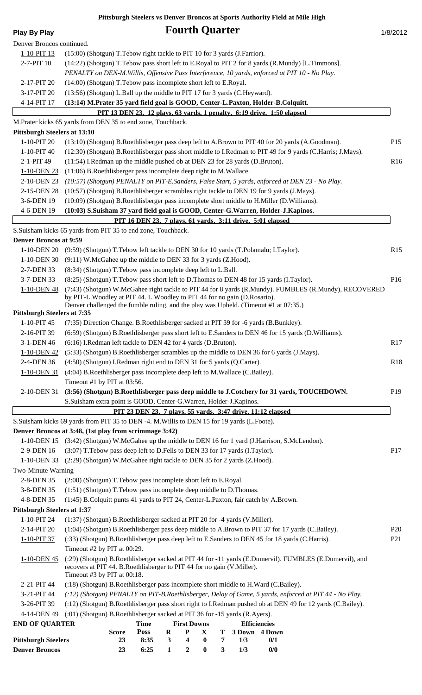| <b>Play By Play</b>                 | <b>Fourth Quarter</b><br>1/8/2012                                                                                                                                                                                |                 |
|-------------------------------------|------------------------------------------------------------------------------------------------------------------------------------------------------------------------------------------------------------------|-----------------|
| Denver Broncos continued.           |                                                                                                                                                                                                                  |                 |
| 1-10-PIT 13                         | (15:00) (Shotgun) T.Tebow right tackle to PIT 10 for 3 yards (J.Farrior).                                                                                                                                        |                 |
| 2-7-PIT 10                          | (14:22) (Shotgun) T. Tebow pass short left to E. Royal to PIT 2 for 8 yards (R. Mundy) [L. Timmons].<br>PENALTY on DEN-M. Willis, Offensive Pass Interference, 10 yards, enforced at PIT 10 - No Play.           |                 |
| 2-17-PIT 20                         | (14:00) (Shotgun) T.Tebow pass incomplete short left to E.Royal.                                                                                                                                                 |                 |
| 3-17-PIT 20                         | (13:56) (Shotgun) L.Ball up the middle to PIT 17 for 3 yards (C.Heyward).                                                                                                                                        |                 |
| 4-14-PIT 17                         | (13:14) M.Prater 35 yard field goal is GOOD, Center-L.Paxton, Holder-B.Colquitt.                                                                                                                                 |                 |
|                                     | PIT 13 DEN 23, 12 plays, 63 yards, 1 penalty, 6:19 drive, 1:50 elapsed                                                                                                                                           |                 |
|                                     | M.Prater kicks 65 yards from DEN 35 to end zone, Touchback.                                                                                                                                                      |                 |
| <b>Pittsburgh Steelers at 13:10</b> |                                                                                                                                                                                                                  |                 |
| 1-10-PIT 20                         | (13:10) (Shotgun) B.Roethlisberger pass deep left to A.Brown to PIT 40 for 20 yards (A.Goodman).                                                                                                                 | P <sub>15</sub> |
| 1-10-PIT 40                         | (12:30) (Shotgun) B.Roethlisberger pass short middle to I.Redman to PIT 49 for 9 yards (C.Harris; J.Mays).                                                                                                       |                 |
| 2-1-PIT 49                          | (11:54) I.Redman up the middle pushed ob at DEN 23 for 28 yards (D.Bruton).                                                                                                                                      | R <sub>16</sub> |
| 1-10-DEN 23                         | $(11:06)$ B. Roethlisberger pass incomplete deep right to M. Wallace.                                                                                                                                            |                 |
| 2-10-DEN 23                         | (10:57) (Shotgun) PENALTY on PIT-E.Sanders, False Start, 5 yards, enforced at DEN 23 - No Play.                                                                                                                  |                 |
| 2-15-DEN 28                         | (10:57) (Shotgun) B.Roethlisberger scrambles right tackle to DEN 19 for 9 yards (J.Mays).                                                                                                                        |                 |
| 3-6-DEN 19                          | (10:09) (Shotgun) B.Roethlisberger pass incomplete short middle to H.Miller (D.Williams).                                                                                                                        |                 |
| 4-6-DEN 19                          | (10:03) S.Suisham 37 yard field goal is GOOD, Center-G.Warren, Holder-J.Kapinos.                                                                                                                                 |                 |
|                                     | PIT 16 DEN 23, 7 plays, 61 yards, 3:11 drive, 5:01 elapsed                                                                                                                                                       |                 |
|                                     | S.Suisham kicks 65 yards from PIT 35 to end zone, Touchback.                                                                                                                                                     |                 |
| <b>Denver Broncos at 9:59</b>       |                                                                                                                                                                                                                  |                 |
|                                     | 1-10-DEN 20 (9:59) (Shotgun) T. Tebow left tackle to DEN 30 for 10 yards (T. Polamalu; I. Taylor).                                                                                                               | R15             |
| 1-10-DEN 30                         | (9:11) W.McGahee up the middle to DEN 33 for 3 yards (Z.Hood).                                                                                                                                                   |                 |
| 2-7-DEN 33                          | (8:34) (Shotgun) T.Tebow pass incomplete deep left to L.Ball.                                                                                                                                                    |                 |
| 3-7-DEN 33                          | (8:25) (Shotgun) T.Tebow pass short left to D.Thomas to DEN 48 for 15 yards (I.Taylor).<br>(7:43) (Shotgun) W.McGahee right tackle to PIT 44 for 8 yards (R.Mundy). FUMBLES (R.Mundy), RECOVERED                 | P16             |
| 1-10-DEN 48                         | by PIT-L. Woodley at PIT 44. L. Woodley to PIT 44 for no gain (D. Rosario).<br>Denver challenged the fumble ruling, and the play was Upheld. (Timeout #1 at 07:35.)                                              |                 |
| <b>Pittsburgh Steelers at 7:35</b>  |                                                                                                                                                                                                                  |                 |
| 1-10-PIT 45                         | (7:35) Direction Change. B.Roethlisberger sacked at PIT 39 for -6 yards (B.Bunkley).                                                                                                                             |                 |
| 2-16-PIT 39                         | (6:59) (Shotgun) B.Roethlisberger pass short left to E.Sanders to DEN 46 for 15 yards (D.Williams).                                                                                                              |                 |
| 3-1-DEN 46                          | (6:16) I.Redman left tackle to DEN 42 for 4 yards (D.Bruton).                                                                                                                                                    | R17             |
| 1-10-DEN 42                         | (5:33) (Shotgun) B.Roethlisberger scrambles up the middle to DEN 36 for 6 yards (J.Mays).                                                                                                                        |                 |
| 2-4-DEN 36                          | (4:50) (Shotgun) I.Redman right end to DEN 31 for 5 yards (Q.Carter).                                                                                                                                            | <b>R18</b>      |
| 1-10-DEN 31                         | (4:04) B.Roethlisberger pass incomplete deep left to M.Wallace (C.Bailey).                                                                                                                                       |                 |
|                                     | Timeout #1 by PIT at 03:56.<br>(3:56) (Shotgun) B.Roethlisberger pass deep middle to J.Cotchery for 31 yards, TOUCHDOWN.                                                                                         |                 |
| 2-10-DEN 31                         | S.Suisham extra point is GOOD, Center-G.Warren, Holder-J.Kapinos.                                                                                                                                                | P <sub>19</sub> |
|                                     | PIT 23 DEN 23, 7 plays, 55 yards, 3:47 drive, 11:12 elapsed                                                                                                                                                      |                 |
|                                     | S.Suisham kicks 69 yards from PIT 35 to DEN -4. M. Willis to DEN 15 for 19 yards (L.Foote).                                                                                                                      |                 |
|                                     | Denver Broncos at 3:48, (1st play from scrimmage 3:42)                                                                                                                                                           |                 |
|                                     | 1-10-DEN 15 (3:42) (Shotgun) W.McGahee up the middle to DEN 16 for 1 yard (J.Harrison, S.McLendon).                                                                                                              |                 |
| 2-9-DEN 16                          | (3:07) T. Tebow pass deep left to D. Fells to DEN 33 for 17 yards (I. Taylor).                                                                                                                                   | P17             |
| $1-10-DEN$ 33                       | (2:29) (Shotgun) W.McGahee right tackle to DEN 35 for 2 yards (Z.Hood).                                                                                                                                          |                 |
| Two-Minute Warning                  |                                                                                                                                                                                                                  |                 |
| 2-8-DEN 35                          | (2:00) (Shotgun) T.Tebow pass incomplete short left to E.Royal.                                                                                                                                                  |                 |
| 3-8-DEN 35                          | (1:51) (Shotgun) T. Tebow pass incomplete deep middle to D. Thomas.                                                                                                                                              |                 |
| 4-8-DEN 35                          | (1:45) B.Colquitt punts 41 yards to PIT 24, Center-L.Paxton, fair catch by A.Brown.                                                                                                                              |                 |
| <b>Pittsburgh Steelers at 1:37</b>  |                                                                                                                                                                                                                  |                 |
| 1-10-PIT 24                         | (1:37) (Shotgun) B.Roethlisberger sacked at PIT 20 for -4 yards (V.Miller).                                                                                                                                      |                 |
| 2-14-PIT 20                         | (1:04) (Shotgun) B.Roethlisberger pass deep middle to A.Brown to PIT 37 for 17 yards (C.Bailey).                                                                                                                 | P <sub>20</sub> |
| 1-10-PIT 37                         | (:33) (Shotgun) B.Roethlisberger pass deep left to E.Sanders to DEN 45 for 18 yards (C.Harris).<br>Timeout #2 by PIT at 00:29.                                                                                   | P <sub>21</sub> |
| 1-10-DEN 45                         | (:29) (Shotgun) B.Roethlisberger sacked at PIT 44 for -11 yards (E.Dumervil). FUMBLES (E.Dumervil), and<br>recovers at PIT 44. B.Roethlisberger to PIT 44 for no gain (V.Miller).<br>Timeout #3 by PIT at 00:18. |                 |
| 2-21-PIT 44                         | (:18) (Shotgun) B.Roethlisberger pass incomplete short middle to H.Ward (C.Bailey).                                                                                                                              |                 |
| 3-21-PIT 44                         | (:12) (Shotgun) PENALTY on PIT-B.Roethlisberger, Delay of Game, 5 yards, enforced at PIT 44 - No Play.                                                                                                           |                 |
| 3-26-PIT 39                         | (:12) (Shotgun) B.Roethlisberger pass short right to I.Redman pushed ob at DEN 49 for 12 yards (C.Bailey).                                                                                                       |                 |
| 4-14-DEN 49                         | (:01) (Shotgun) B.Roethlisberger sacked at PIT 36 for -15 yards (R.Ayers).                                                                                                                                       |                 |
| <b>END OF QUARTER</b>               | <b>Efficiencies</b><br><b>First Downs</b><br><b>Time</b>                                                                                                                                                         |                 |
| <b>Pittsburgh Steelers</b>          | <b>Poss</b><br>$\bf R$<br>$\mathbf{X}$<br>T 3 Down 4 Down<br>$\mathbf{P}$<br><b>Score</b><br>23<br>8:35<br>3 <sup>7</sup><br>$\overline{\mathbf{4}}$<br>$\bf{0}$<br>$7\degree$<br>1/3<br>0/1                     |                 |
| <b>Denver Broncos</b>               | 6:25<br>$\mathbf{1}$<br>$\pmb{0}$<br>$\mathbf{3}$<br>1/3<br>0/0<br>23<br>$\boldsymbol{2}$                                                                                                                        |                 |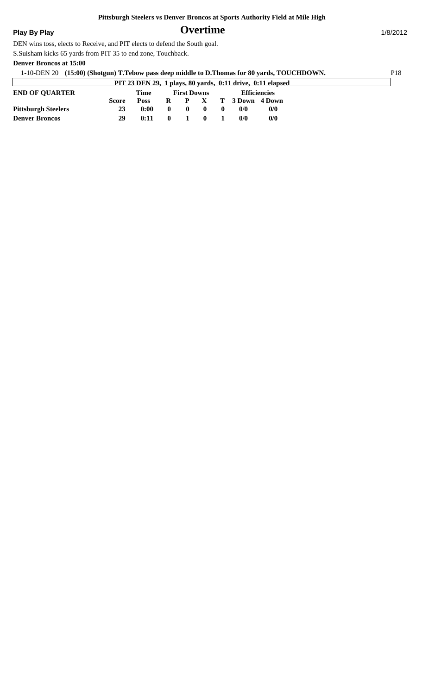## **Play By Play** 1/8/2012

DEN wins toss, elects to Receive, and PIT elects to defend the South goal.

S.Suisham kicks 65 yards from PIT 35 to end zone, Touchback.

### **Denver Broncos at 15:00**

| 1-10-DEN 20 (15:00) (Shotgun) T.Tebow pass deep middle to D.Thomas for 80 yards, TOUCHDOWN. |       |                                                   |    |  |  |  |                 |                                                                   |  |  |  |
|---------------------------------------------------------------------------------------------|-------|---------------------------------------------------|----|--|--|--|-----------------|-------------------------------------------------------------------|--|--|--|
|                                                                                             |       |                                                   |    |  |  |  |                 | <b>PIT 23 DEN 29, 1 plays, 80 yards, 0:11 drive, 0:11 elapsed</b> |  |  |  |
| <b>END OF OUARTER</b>                                                                       |       | Time<br><b>Efficiencies</b><br><b>First Downs</b> |    |  |  |  |                 |                                                                   |  |  |  |
|                                                                                             | Score | <b>Poss</b>                                       | R. |  |  |  | T 3 Down 4 Down |                                                                   |  |  |  |
| <b>Pittsburgh Steelers</b>                                                                  | 23    | 0:00                                              | 0  |  |  |  | $\frac{0}{0}$   | 0/0                                                               |  |  |  |
| <b>Denver Broncos</b>                                                                       | 29    | 0:11                                              | 0  |  |  |  | 0/0             | 0/0                                                               |  |  |  |